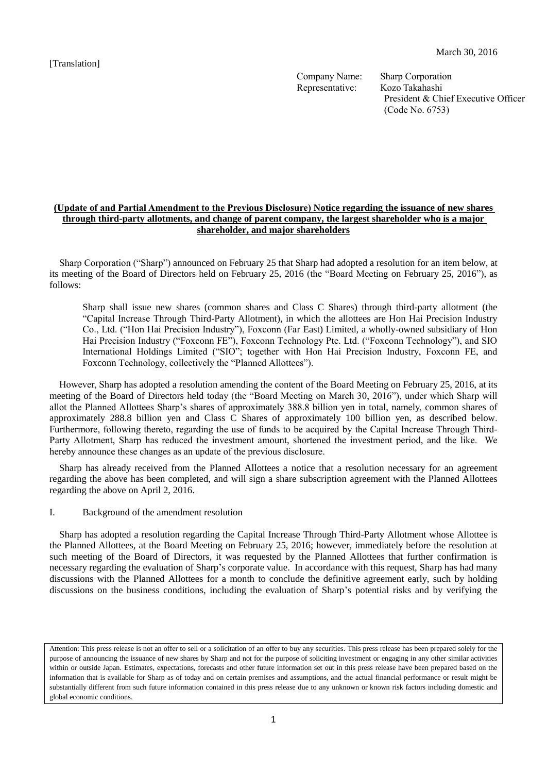[Translation]

Company Name: Sharp Corporation Representative: Kozo Takahashi

President & Chief Executive Officer (Code No. 6753)

# **(Update of and Partial Amendment to the Previous Disclosure) Notice regarding the issuance of new shares through third-party allotments, and change of parent company, the largest shareholder who is a major shareholder, and major shareholders**

Sharp Corporation ("Sharp") announced on February 25 that Sharp had adopted a resolution for an item below, at its meeting of the Board of Directors held on February 25, 2016 (the "Board Meeting on February 25, 2016"), as follows:

Sharp shall issue new shares (common shares and Class C Shares) through third-party allotment (the "Capital Increase Through Third-Party Allotment), in which the allottees are Hon Hai Precision Industry Co., Ltd. ("Hon Hai Precision Industry"), Foxconn (Far East) Limited, a wholly-owned subsidiary of Hon Hai Precision Industry ("Foxconn FE"), Foxconn Technology Pte. Ltd. ("Foxconn Technology"), and SIO International Holdings Limited ("SIO"; together with Hon Hai Precision Industry, Foxconn FE, and Foxconn Technology, collectively the "Planned Allottees").

However, Sharp has adopted a resolution amending the content of the Board Meeting on February 25, 2016, at its meeting of the Board of Directors held today (the "Board Meeting on March 30, 2016"), under which Sharp will allot the Planned Allottees Sharp's shares of approximately 388.8 billion yen in total, namely, common shares of approximately 288.8 billion yen and Class C Shares of approximately 100 billion yen, as described below. Furthermore, following thereto, regarding the use of funds to be acquired by the Capital Increase Through Third-Party Allotment, Sharp has reduced the investment amount, shortened the investment period, and the like. We hereby announce these changes as an update of the previous disclosure.

Sharp has already received from the Planned Allottees a notice that a resolution necessary for an agreement regarding the above has been completed, and will sign a share subscription agreement with the Planned Allottees regarding the above on April 2, 2016.

I. Background of the amendment resolution

Sharp has adopted a resolution regarding the Capital Increase Through Third-Party Allotment whose Allottee is the Planned Allottees, at the Board Meeting on February 25, 2016; however, immediately before the resolution at such meeting of the Board of Directors, it was requested by the Planned Allottees that further confirmation is necessary regarding the evaluation of Sharp's corporate value. In accordance with this request, Sharp has had many discussions with the Planned Allottees for a month to conclude the definitive agreement early, such by holding discussions on the business conditions, including the evaluation of Sharp's potential risks and by verifying the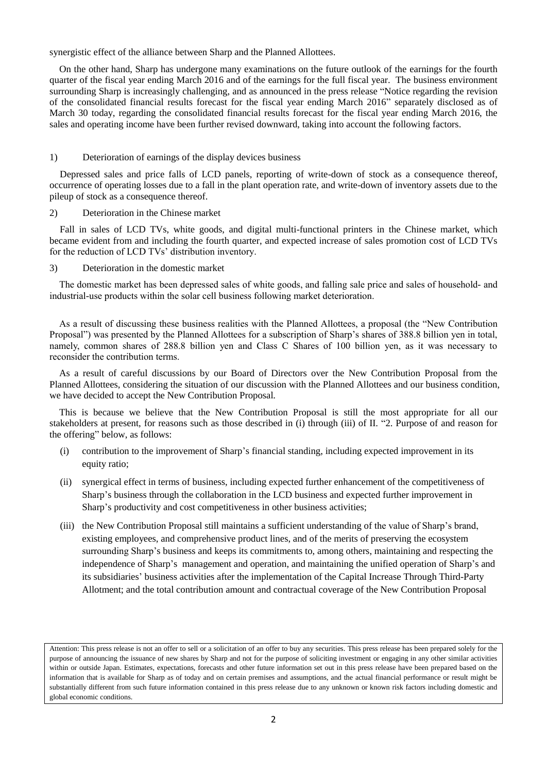synergistic effect of the alliance between Sharp and the Planned Allottees.

On the other hand, Sharp has undergone many examinations on the future outlook of the earnings for the fourth quarter of the fiscal year ending March 2016 and of the earnings for the full fiscal year. The business environment surrounding Sharp is increasingly challenging, and as announced in the press release "Notice regarding the revision of the consolidated financial results forecast for the fiscal year ending March 2016" separately disclosed as of March 30 today, regarding the consolidated financial results forecast for the fiscal year ending March 2016, the sales and operating income have been further revised downward, taking into account the following factors.

#### 1) Deterioration of earnings of the display devices business

Depressed sales and price falls of LCD panels, reporting of write-down of stock as a consequence thereof, occurrence of operating losses due to a fall in the plant operation rate, and write-down of inventory assets due to the pileup of stock as a consequence thereof.

2) Deterioration in the Chinese market

Fall in sales of LCD TVs, white goods, and digital multi-functional printers in the Chinese market, which became evident from and including the fourth quarter, and expected increase of sales promotion cost of LCD TVs for the reduction of LCD TVs' distribution inventory.

3) Deterioration in the domestic market

The domestic market has been depressed sales of white goods, and falling sale price and sales of household- and industrial-use products within the solar cell business following market deterioration.

As a result of discussing these business realities with the Planned Allottees, a proposal (the "New Contribution Proposal") was presented by the Planned Allottees for a subscription of Sharp's shares of 388.8 billion yen in total, namely, common shares of 288.8 billion yen and Class C Shares of 100 billion yen, as it was necessary to reconsider the contribution terms.

As a result of careful discussions by our Board of Directors over the New Contribution Proposal from the Planned Allottees, considering the situation of our discussion with the Planned Allottees and our business condition, we have decided to accept the New Contribution Proposal.

This is because we believe that the New Contribution Proposal is still the most appropriate for all our stakeholders at present, for reasons such as those described in (i) through (iii) of II. "2. Purpose of and reason for the offering" below, as follows:

- (i) contribution to the improvement of Sharp's financial standing, including expected improvement in its equity ratio;
- (ii) synergical effect in terms of business, including expected further enhancement of the competitiveness of Sharp's business through the collaboration in the LCD business and expected further improvement in Sharp's productivity and cost competitiveness in other business activities;
- (iii) the New Contribution Proposal still maintains a sufficient understanding of the value of Sharp's brand, existing employees, and comprehensive product lines, and of the merits of preserving the ecosystem surrounding Sharp's business and keeps its commitments to, among others, maintaining and respecting the independence of Sharp's management and operation, and maintaining the unified operation of Sharp's and its subsidiaries' business activities after the implementation of the Capital Increase Through Third-Party Allotment; and the total contribution amount and contractual coverage of the New Contribution Proposal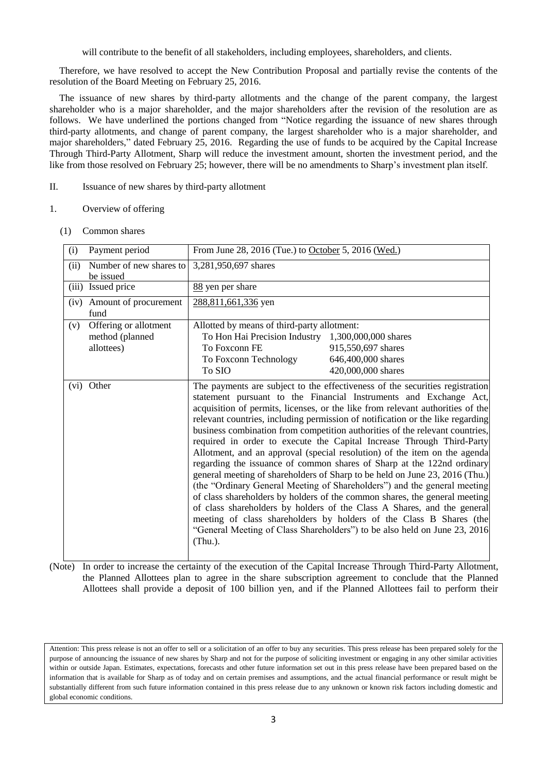will contribute to the benefit of all stakeholders, including employees, shareholders, and clients.

Therefore, we have resolved to accept the New Contribution Proposal and partially revise the contents of the resolution of the Board Meeting on February 25, 2016.

The issuance of new shares by third-party allotments and the change of the parent company, the largest shareholder who is a major shareholder, and the major shareholders after the revision of the resolution are as follows. We have underlined the portions changed from "Notice regarding the issuance of new shares through third-party allotments, and change of parent company, the largest shareholder who is a major shareholder, and major shareholders," dated February 25, 2016. Regarding the use of funds to be acquired by the Capital Increase Through Third-Party Allotment, Sharp will reduce the investment amount, shorten the investment period, and the like from those resolved on February 25; however, there will be no amendments to Sharp's investment plan itself.

#### II. Issuance of new shares by third-party allotment

#### 1. Overview of offering

(1) Common shares

| (i)   | Payment period                                         | From June 28, 2016 (Tue.) to October 5, 2016 (Wed.)                                                                                                   |                                                                                                                                                                                                                                                                                                                                                                                                                                                                                                                                                                                                                                                                                                                                                                                                                                                                                                                                                                                                                                                                                                               |
|-------|--------------------------------------------------------|-------------------------------------------------------------------------------------------------------------------------------------------------------|---------------------------------------------------------------------------------------------------------------------------------------------------------------------------------------------------------------------------------------------------------------------------------------------------------------------------------------------------------------------------------------------------------------------------------------------------------------------------------------------------------------------------------------------------------------------------------------------------------------------------------------------------------------------------------------------------------------------------------------------------------------------------------------------------------------------------------------------------------------------------------------------------------------------------------------------------------------------------------------------------------------------------------------------------------------------------------------------------------------|
| (ii)  | Number of new shares to<br>be issued                   | 3,281,950,697 shares                                                                                                                                  |                                                                                                                                                                                                                                                                                                                                                                                                                                                                                                                                                                                                                                                                                                                                                                                                                                                                                                                                                                                                                                                                                                               |
| (iii) | Issued price                                           | 88 yen per share                                                                                                                                      |                                                                                                                                                                                                                                                                                                                                                                                                                                                                                                                                                                                                                                                                                                                                                                                                                                                                                                                                                                                                                                                                                                               |
| (iv)  | Amount of procurement<br>fund                          | 288,811,661,336 yen                                                                                                                                   |                                                                                                                                                                                                                                                                                                                                                                                                                                                                                                                                                                                                                                                                                                                                                                                                                                                                                                                                                                                                                                                                                                               |
| (v)   | Offering or allotment<br>method (planned<br>allottees) | Allotted by means of third-party allotment:<br>To Hon Hai Precision Industry 1,300,000,000 shares<br>To Foxconn FE<br>To Foxconn Technology<br>To SIO | 915,550,697 shares<br>646,400,000 shares<br>420,000,000 shares                                                                                                                                                                                                                                                                                                                                                                                                                                                                                                                                                                                                                                                                                                                                                                                                                                                                                                                                                                                                                                                |
| (vi)  | Other                                                  | $(Thu.)$ .                                                                                                                                            | The payments are subject to the effectiveness of the securities registration<br>statement pursuant to the Financial Instruments and Exchange Act,<br>acquisition of permits, licenses, or the like from relevant authorities of the<br>relevant countries, including permission of notification or the like regarding<br>business combination from competition authorities of the relevant countries,<br>required in order to execute the Capital Increase Through Third-Party<br>Allotment, and an approval (special resolution) of the item on the agenda<br>regarding the issuance of common shares of Sharp at the 122nd ordinary<br>general meeting of shareholders of Sharp to be held on June 23, 2016 (Thu.)<br>(the "Ordinary General Meeting of Shareholders") and the general meeting<br>of class shareholders by holders of the common shares, the general meeting<br>of class shareholders by holders of the Class A Shares, and the general<br>meeting of class shareholders by holders of the Class B Shares (the<br>"General Meeting of Class Shareholders") to be also held on June 23, 2016 |

(Note) In order to increase the certainty of the execution of the Capital Increase Through Third-Party Allotment, the Planned Allottees plan to agree in the share subscription agreement to conclude that the Planned Allottees shall provide a deposit of 100 billion yen, and if the Planned Allottees fail to perform their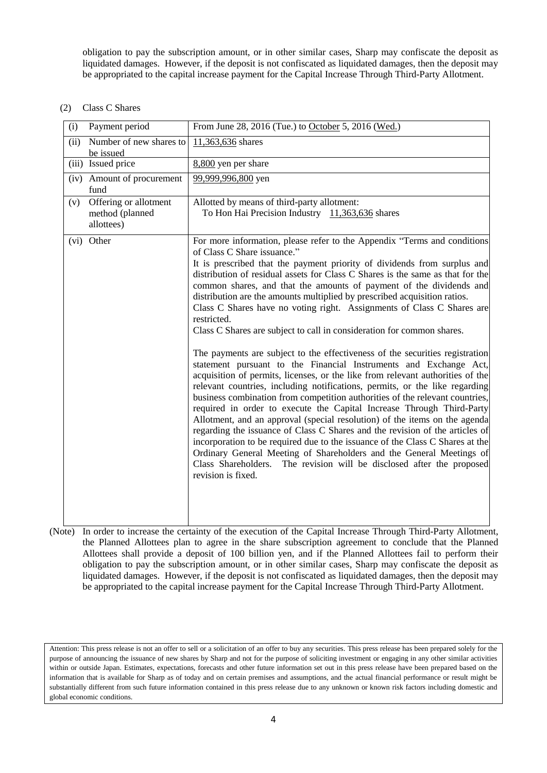obligation to pay the subscription amount, or in other similar cases, Sharp may confiscate the deposit as liquidated damages. However, if the deposit is not confiscated as liquidated damages, then the deposit may be appropriated to the capital increase payment for the Capital Increase Through Third-Party Allotment.

# (2) Class C Shares

| Payment period<br>(i)                                         | From June 28, 2016 (Tue.) to October 5, 2016 (Wed.)                                                                                                                                                                                                                                                                                                                                                                                                                                                                                                                                                                                                                                                                                                                                                                                                                                                                                                                                                                                                                                                                                                                                                                                                                                                                                                                                                                                                                                               |
|---------------------------------------------------------------|---------------------------------------------------------------------------------------------------------------------------------------------------------------------------------------------------------------------------------------------------------------------------------------------------------------------------------------------------------------------------------------------------------------------------------------------------------------------------------------------------------------------------------------------------------------------------------------------------------------------------------------------------------------------------------------------------------------------------------------------------------------------------------------------------------------------------------------------------------------------------------------------------------------------------------------------------------------------------------------------------------------------------------------------------------------------------------------------------------------------------------------------------------------------------------------------------------------------------------------------------------------------------------------------------------------------------------------------------------------------------------------------------------------------------------------------------------------------------------------------------|
| Number of new shares to<br>(ii)<br>be issued                  | 11,363,636 shares                                                                                                                                                                                                                                                                                                                                                                                                                                                                                                                                                                                                                                                                                                                                                                                                                                                                                                                                                                                                                                                                                                                                                                                                                                                                                                                                                                                                                                                                                 |
| (iii) Issued price                                            | 8,800 yen per share                                                                                                                                                                                                                                                                                                                                                                                                                                                                                                                                                                                                                                                                                                                                                                                                                                                                                                                                                                                                                                                                                                                                                                                                                                                                                                                                                                                                                                                                               |
| (iv) Amount of procurement<br>fund                            | 99,999,996,800 yen                                                                                                                                                                                                                                                                                                                                                                                                                                                                                                                                                                                                                                                                                                                                                                                                                                                                                                                                                                                                                                                                                                                                                                                                                                                                                                                                                                                                                                                                                |
| Offering or allotment<br>(v)<br>method (planned<br>allottees) | Allotted by means of third-party allotment:<br>To Hon Hai Precision Industry 11,363,636 shares                                                                                                                                                                                                                                                                                                                                                                                                                                                                                                                                                                                                                                                                                                                                                                                                                                                                                                                                                                                                                                                                                                                                                                                                                                                                                                                                                                                                    |
| Other<br>(vi)                                                 | For more information, please refer to the Appendix "Terms and conditions<br>of Class C Share issuance."<br>It is prescribed that the payment priority of dividends from surplus and<br>distribution of residual assets for Class C Shares is the same as that for the<br>common shares, and that the amounts of payment of the dividends and<br>distribution are the amounts multiplied by prescribed acquisition ratios.<br>Class C Shares have no voting right. Assignments of Class C Shares are<br>restricted.<br>Class C Shares are subject to call in consideration for common shares.<br>The payments are subject to the effectiveness of the securities registration<br>statement pursuant to the Financial Instruments and Exchange Act,<br>acquisition of permits, licenses, or the like from relevant authorities of the<br>relevant countries, including notifications, permits, or the like regarding<br>business combination from competition authorities of the relevant countries,<br>required in order to execute the Capital Increase Through Third-Party<br>Allotment, and an approval (special resolution) of the items on the agenda<br>regarding the issuance of Class C Shares and the revision of the articles of<br>incorporation to be required due to the issuance of the Class C Shares at the<br>Ordinary General Meeting of Shareholders and the General Meetings of<br>Class Shareholders. The revision will be disclosed after the proposed<br>revision is fixed. |

(Note) In order to increase the certainty of the execution of the Capital Increase Through Third-Party Allotment, the Planned Allottees plan to agree in the share subscription agreement to conclude that the Planned Allottees shall provide a deposit of 100 billion yen, and if the Planned Allottees fail to perform their obligation to pay the subscription amount, or in other similar cases, Sharp may confiscate the deposit as liquidated damages. However, if the deposit is not confiscated as liquidated damages, then the deposit may be appropriated to the capital increase payment for the Capital Increase Through Third-Party Allotment.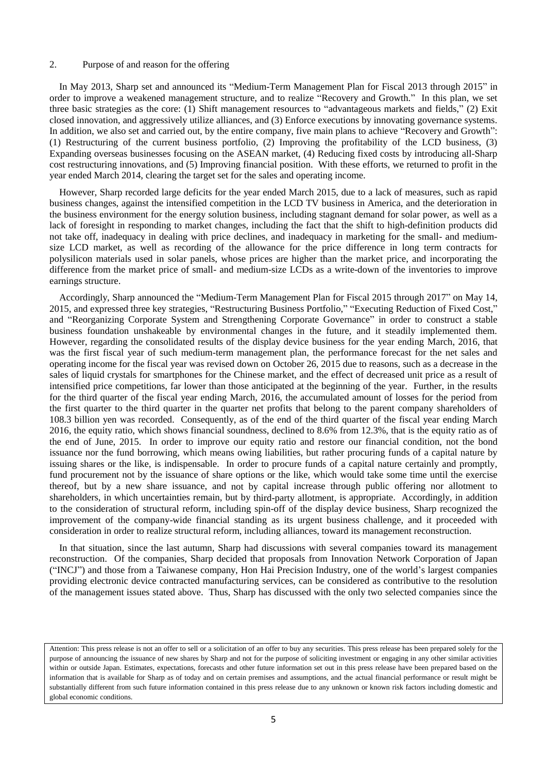#### 2. Purpose of and reason for the offering

In May 2013, Sharp set and announced its "Medium-Term Management Plan for Fiscal 2013 through 2015" in order to improve a weakened management structure, and to realize "Recovery and Growth." In this plan, we set three basic strategies as the core: (1) Shift management resources to "advantageous markets and fields," (2) Exit closed innovation, and aggressively utilize alliances, and (3) Enforce executions by innovating governance systems. In addition, we also set and carried out, by the entire company, five main plans to achieve "Recovery and Growth": (1) Restructuring of the current business portfolio, (2) Improving the profitability of the LCD business, (3) Expanding overseas businesses focusing on the ASEAN market, (4) Reducing fixed costs by introducing all-Sharp cost restructuring innovations, and (5) Improving financial position. With these efforts, we returned to profit in the year ended March 2014, clearing the target set for the sales and operating income.

However, Sharp recorded large deficits for the year ended March 2015, due to a lack of measures, such as rapid business changes, against the intensified competition in the LCD TV business in America, and the deterioration in the business environment for the energy solution business, including stagnant demand for solar power, as well as a lack of foresight in responding to market changes, including the fact that the shift to high-definition products did not take off, inadequacy in dealing with price declines, and inadequacy in marketing for the small- and mediumsize LCD market, as well as recording of the allowance for the price difference in long term contracts for polysilicon materials used in solar panels, whose prices are higher than the market price, and incorporating the difference from the market price of small- and medium-size LCDs as a write-down of the inventories to improve earnings structure.

Accordingly, Sharp announced the "Medium-Term Management Plan for Fiscal 2015 through 2017" on May 14, 2015, and expressed three key strategies, "Restructuring Business Portfolio," "Executing Reduction of Fixed Cost," and "Reorganizing Corporate System and Strengthening Corporate Governance" in order to construct a stable business foundation unshakeable by environmental changes in the future, and it steadily implemented them. However, regarding the consolidated results of the display device business for the year ending March, 2016, that was the first fiscal year of such medium-term management plan, the performance forecast for the net sales and operating income for the fiscal year was revised down on October 26, 2015 due to reasons, such as a decrease in the sales of liquid crystals for smartphones for the Chinese market, and the effect of decreased unit price as a result of intensified price competitions, far lower than those anticipated at the beginning of the year. Further, in the results for the third quarter of the fiscal year ending March, 2016, the accumulated amount of losses for the period from the first quarter to the third quarter in the quarter net profits that belong to the parent company shareholders of 108.3 billion yen was recorded. Consequently, as of the end of the third quarter of the fiscal year ending March 2016, the equity ratio, which shows financial soundness, declined to 8.6% from 12.3%, that is the equity ratio as of the end of June, 2015. In order to improve our equity ratio and restore our financial condition, not the bond issuance nor the fund borrowing, which means owing liabilities, but rather procuring funds of a capital nature by issuing shares or the like, is indispensable. In order to procure funds of a capital nature certainly and promptly, fund procurement not by the issuance of share options or the like, which would take some time until the exercise thereof, but by a new share issuance, and not by capital increase through public offering nor allotment to shareholders, in which uncertainties remain, but by third-party allotment, is appropriate. Accordingly, in addition to the consideration of structural reform, including spin-off of the display device business, Sharp recognized the improvement of the company-wide financial standing as its urgent business challenge, and it proceeded with consideration in order to realize structural reform, including alliances, toward its management reconstruction.

In that situation, since the last autumn, Sharp had discussions with several companies toward its management reconstruction. Of the companies, Sharp decided that proposals from Innovation Network Corporation of Japan ("INCJ") and those from a Taiwanese company, Hon Hai Precision Industry, one of the world's largest companies providing electronic device contracted manufacturing services, can be considered as contributive to the resolution of the management issues stated above. Thus, Sharp has discussed with the only two selected companies since the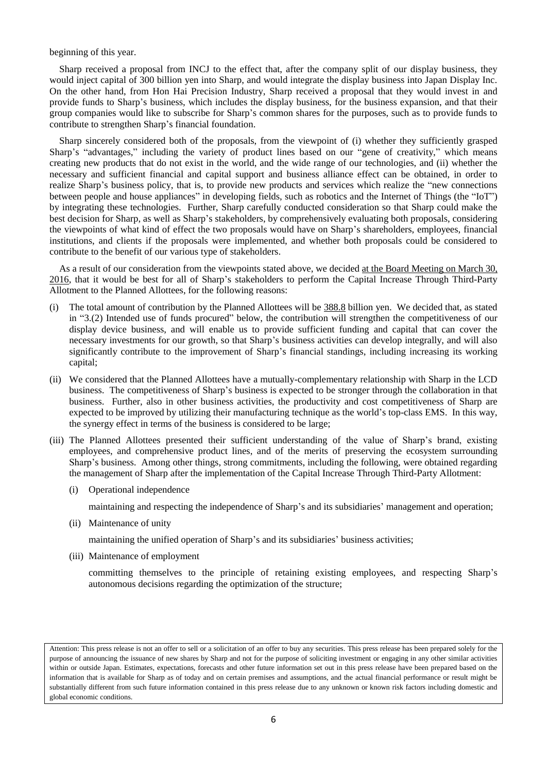beginning of this year.

Sharp received a proposal from INCJ to the effect that, after the company split of our display business, they would inject capital of 300 billion yen into Sharp, and would integrate the display business into Japan Display Inc. On the other hand, from Hon Hai Precision Industry, Sharp received a proposal that they would invest in and provide funds to Sharp's business, which includes the display business, for the business expansion, and that their group companies would like to subscribe for Sharp's common shares for the purposes, such as to provide funds to contribute to strengthen Sharp's financial foundation.

Sharp sincerely considered both of the proposals, from the viewpoint of (i) whether they sufficiently grasped Sharp's "advantages," including the variety of product lines based on our "gene of creativity," which means creating new products that do not exist in the world, and the wide range of our technologies, and (ii) whether the necessary and sufficient financial and capital support and business alliance effect can be obtained, in order to realize Sharp's business policy, that is, to provide new products and services which realize the "new connections between people and house appliances" in developing fields, such as robotics and the Internet of Things (the "IoT") by integrating these technologies. Further, Sharp carefully conducted consideration so that Sharp could make the best decision for Sharp, as well as Sharp's stakeholders, by comprehensively evaluating both proposals, considering the viewpoints of what kind of effect the two proposals would have on Sharp's shareholders, employees, financial institutions, and clients if the proposals were implemented, and whether both proposals could be considered to contribute to the benefit of our various type of stakeholders.

As a result of our consideration from the viewpoints stated above, we decided at the Board Meeting on March 30, 2016, that it would be best for all of Sharp's stakeholders to perform the Capital Increase Through Third-Party Allotment to the Planned Allottees, for the following reasons:

- (i) The total amount of contribution by the Planned Allottees will be 388.8 billion yen. We decided that, as stated in "3.(2) Intended use of funds procured" below, the contribution will strengthen the competitiveness of our display device business, and will enable us to provide sufficient funding and capital that can cover the necessary investments for our growth, so that Sharp's business activities can develop integrally, and will also significantly contribute to the improvement of Sharp's financial standings, including increasing its working capital;
- (ii) We considered that the Planned Allottees have a mutually-complementary relationship with Sharp in the LCD business. The competitiveness of Sharp's business is expected to be stronger through the collaboration in that business. Further, also in other business activities, the productivity and cost competitiveness of Sharp are expected to be improved by utilizing their manufacturing technique as the world's top-class EMS. In this way, the synergy effect in terms of the business is considered to be large;
- (iii) The Planned Allottees presented their sufficient understanding of the value of Sharp's brand, existing employees, and comprehensive product lines, and of the merits of preserving the ecosystem surrounding Sharp's business. Among other things, strong commitments, including the following, were obtained regarding the management of Sharp after the implementation of the Capital Increase Through Third-Party Allotment:
	- (i) Operational independence

maintaining and respecting the independence of Sharp's and its subsidiaries' management and operation;

(ii) Maintenance of unity

maintaining the unified operation of Sharp's and its subsidiaries' business activities;

(iii) Maintenance of employment

committing themselves to the principle of retaining existing employees, and respecting Sharp's autonomous decisions regarding the optimization of the structure;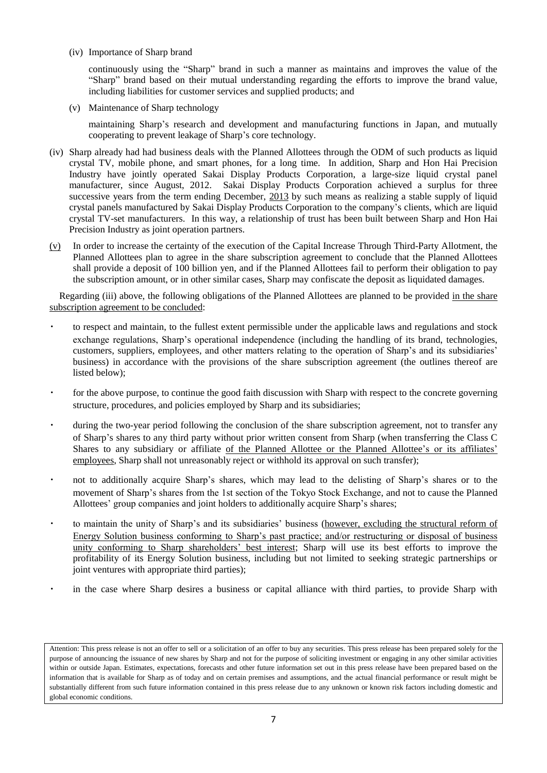(iv) Importance of Sharp brand

continuously using the "Sharp" brand in such a manner as maintains and improves the value of the "Sharp" brand based on their mutual understanding regarding the efforts to improve the brand value, including liabilities for customer services and supplied products; and

(v) Maintenance of Sharp technology

maintaining Sharp's research and development and manufacturing functions in Japan, and mutually cooperating to prevent leakage of Sharp's core technology.

- (iv) Sharp already had had business deals with the Planned Allottees through the ODM of such products as liquid crystal TV, mobile phone, and smart phones, for a long time. In addition, Sharp and Hon Hai Precision Industry have jointly operated Sakai Display Products Corporation, a large-size liquid crystal panel manufacturer, since August, 2012. Sakai Display Products Corporation achieved a surplus for three successive years from the term ending December, 2013 by such means as realizing a stable supply of liquid crystal panels manufactured by Sakai Display Products Corporation to the company's clients, which are liquid crystal TV-set manufacturers. In this way, a relationship of trust has been built between Sharp and Hon Hai Precision Industry as joint operation partners.
- (v) In order to increase the certainty of the execution of the Capital Increase Through Third-Party Allotment, the Planned Allottees plan to agree in the share subscription agreement to conclude that the Planned Allottees shall provide a deposit of 100 billion yen, and if the Planned Allottees fail to perform their obligation to pay the subscription amount, or in other similar cases, Sharp may confiscate the deposit as liquidated damages.

Regarding (iii) above, the following obligations of the Planned Allottees are planned to be provided in the share subscription agreement to be concluded:

- to respect and maintain, to the fullest extent permissible under the applicable laws and regulations and stock exchange regulations, Sharp's operational independence (including the handling of its brand, technologies, customers, suppliers, employees, and other matters relating to the operation of Sharp's and its subsidiaries' business) in accordance with the provisions of the share subscription agreement (the outlines thereof are listed below);
- for the above purpose, to continue the good faith discussion with Sharp with respect to the concrete governing structure, procedures, and policies employed by Sharp and its subsidiaries;
- during the two-year period following the conclusion of the share subscription agreement, not to transfer any of Sharp's shares to any third party without prior written consent from Sharp (when transferring the Class C Shares to any subsidiary or affiliate of the Planned Allottee or the Planned Allottee's or its affiliates' employees, Sharp shall not unreasonably reject or withhold its approval on such transfer);
- not to additionally acquire Sharp's shares, which may lead to the delisting of Sharp's shares or to the movement of Sharp's shares from the 1st section of the Tokyo Stock Exchange, and not to cause the Planned Allottees' group companies and joint holders to additionally acquire Sharp's shares;
- to maintain the unity of Sharp's and its subsidiaries' business (however, excluding the structural reform of Energy Solution business conforming to Sharp's past practice; and/or restructuring or disposal of business unity conforming to Sharp shareholders' best interest; Sharp will use its best efforts to improve the profitability of its Energy Solution business, including but not limited to seeking strategic partnerships or joint ventures with appropriate third parties);
- in the case where Sharp desires a business or capital alliance with third parties, to provide Sharp with

Attention: This press release is not an offer to sell or a solicitation of an offer to buy any securities. This press release has been prepared solely for the purpose of announcing the issuance of new shares by Sharp and not for the purpose of soliciting investment or engaging in any other similar activities within or outside Japan. Estimates, expectations, forecasts and other future information set out in this press release have been prepared based on the information that is available for Sharp as of today and on certain premises and assumptions, and the actual financial performance or result might be substantially different from such future information contained in this press release due to any unknown or known risk factors including domestic and global economic conditions.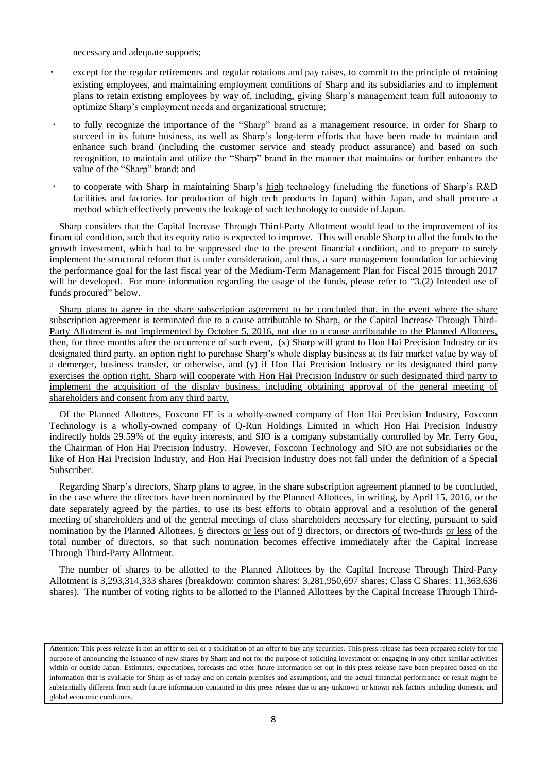necessary and adequate supports;

- except for the regular retirements and regular rotations and pay raises, to commit to the principle of retaining existing employees, and maintaining employment conditions of Sharp and its subsidiaries and to implement plans to retain existing employees by way of, including, giving Sharp's management team full autonomy to optimize Sharp's employment needs and organizational structure;
- to fully recognize the importance of the "Sharp" brand as a management resource, in order for Sharp to succeed in its future business, as well as Sharp's long-term efforts that have been made to maintain and enhance such brand (including the customer service and steady product assurance) and based on such recognition, to maintain and utilize the "Sharp" brand in the manner that maintains or further enhances the value of the "Sharp" brand; and
- to cooperate with Sharp in maintaining Sharp's high technology (including the functions of Sharp's R&D facilities and factories for production of high tech products in Japan) within Japan, and shall procure a method which effectively prevents the leakage of such technology to outside of Japan.

Sharp considers that the Capital Increase Through Third-Party Allotment would lead to the improvement of its financial condition, such that its equity ratio is expected to improve. This will enable Sharp to allot the funds to the growth investment, which had to be suppressed due to the present financial condition, and to prepare to surely implement the structural reform that is under consideration, and thus, a sure management foundation for achieving the performance goal for the last fiscal year of the Medium-Term Management Plan for Fiscal 2015 through 2017 will be developed. For more information regarding the usage of the funds, please refer to "3.(2) Intended use of funds procured" below.

Sharp plans to agree in the share subscription agreement to be concluded that, in the event where the share subscription agreement is terminated due to a cause attributable to Sharp, or the Capital Increase Through Third-Party Allotment is not implemented by October 5, 2016, not due to a cause attributable to the Planned Allottees, then, for three months after the occurrence of such event, (x) Sharp will grant to Hon Hai Precision Industry or its designated third party, an option right to purchase Sharp's whole display business at its fair market value by way of a demerger, business transfer, or otherwise, and (y) if Hon Hai Precision Industry or its designated third party exercises the option right, Sharp will cooperate with Hon Hai Precision Industry or such designated third party to implement the acquisition of the display business, including obtaining approval of the general meeting of shareholders and consent from any third party.

Of the Planned Allottees, Foxconn FE is a wholly-owned company of Hon Hai Precision Industry, Foxconn Technology is a wholly-owned company of Q-Run Holdings Limited in which Hon Hai Precision Industry indirectly holds 29.59% of the equity interests, and SIO is a company substantially controlled by Mr. Terry Gou, the Chairman of Hon Hai Precision Industry. However, Foxconn Technology and SIO are not subsidiaries or the like of Hon Hai Precision Industry, and Hon Hai Precision Industry does not fall under the definition of a Special Subscriber.

Regarding Sharp's directors, Sharp plans to agree, in the share subscription agreement planned to be concluded, in the case where the directors have been nominated by the Planned Allottees, in writing, by April 15, 2016, or the date separately agreed by the parties, to use its best efforts to obtain approval and a resolution of the general meeting of shareholders and of the general meetings of class shareholders necessary for electing, pursuant to said nomination by the Planned Allottees, 6 directors or less out of 9 directors, or directors of two-thirds or less of the total number of directors, so that such nomination becomes effective immediately after the Capital Increase Through Third-Party Allotment.

The number of shares to be allotted to the Planned Allottees by the Capital Increase Through Third-Party Allotment is 3,293,314,333 shares (breakdown: common shares: 3,281,950,697 shares; Class C Shares: 11,363,636 shares). The number of voting rights to be allotted to the Planned Allottees by the Capital Increase Through Third-

Attention: This press release is not an offer to sell or a solicitation of an offer to buy any securities. This press release has been prepared solely for the purpose of announcing the issuance of new shares by Sharp and not for the purpose of soliciting investment or engaging in any other similar activities within or outside Japan. Estimates, expectations, forecasts and other future information set out in this press release have been prepared based on the information that is available for Sharp as of today and on certain premises and assumptions, and the actual financial performance or result might be substantially different from such future information contained in this press release due to any unknown or known risk factors including domestic and global economic conditions.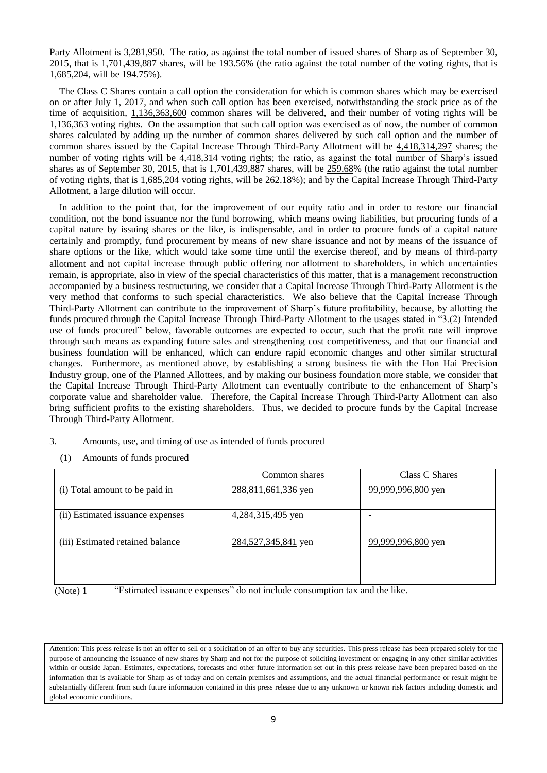Party Allotment is 3,281,950. The ratio, as against the total number of issued shares of Sharp as of September 30, 2015, that is 1,701,439,887 shares, will be 193.56% (the ratio against the total number of the voting rights, that is 1,685,204, will be 194.75%).

The Class C Shares contain a call option the consideration for which is common shares which may be exercised on or after July 1, 2017, and when such call option has been exercised, notwithstanding the stock price as of the time of acquisition, 1,136,363,600 common shares will be delivered, and their number of voting rights will be 1,136,363 voting rights. On the assumption that such call option was exercised as of now, the number of common shares calculated by adding up the number of common shares delivered by such call option and the number of common shares issued by the Capital Increase Through Third-Party Allotment will be 4,418,314,297 shares; the number of voting rights will be 4,418,314 voting rights; the ratio, as against the total number of Sharp's issued shares as of September 30, 2015, that is 1,701,439,887 shares, will be 259.68% (the ratio against the total number of voting rights, that is 1,685,204 voting rights, will be 262.18%); and by the Capital Increase Through Third-Party Allotment, a large dilution will occur.

In addition to the point that, for the improvement of our equity ratio and in order to restore our financial condition, not the bond issuance nor the fund borrowing, which means owing liabilities, but procuring funds of a capital nature by issuing shares or the like, is indispensable, and in order to procure funds of a capital nature certainly and promptly, fund procurement by means of new share issuance and not by means of the issuance of share options or the like, which would take some time until the exercise thereof, and by means of third-party allotment and not capital increase through public offering nor allotment to shareholders, in which uncertainties remain, is appropriate, also in view of the special characteristics of this matter, that is a management reconstruction accompanied by a business restructuring, we consider that a Capital Increase Through Third-Party Allotment is the very method that conforms to such special characteristics. We also believe that the Capital Increase Through Third-Party Allotment can contribute to the improvement of Sharp's future profitability, because, by allotting the funds procured through the Capital Increase Through Third-Party Allotment to the usages stated in "3.(2) Intended use of funds procured" below, favorable outcomes are expected to occur, such that the profit rate will improve through such means as expanding future sales and strengthening cost competitiveness, and that our financial and business foundation will be enhanced, which can endure rapid economic changes and other similar structural changes. Furthermore, as mentioned above, by establishing a strong business tie with the Hon Hai Precision Industry group, one of the Planned Allottees, and by making our business foundation more stable, we consider that the Capital Increase Through Third-Party Allotment can eventually contribute to the enhancement of Sharp's corporate value and shareholder value. Therefore, the Capital Increase Through Third-Party Allotment can also bring sufficient profits to the existing shareholders. Thus, we decided to procure funds by the Capital Increase Through Third-Party Allotment.

- 3. Amounts, use, and timing of use as intended of funds procured
	- (1) Amounts of funds procured

|                                  | Common shares       | Class C Shares     |
|----------------------------------|---------------------|--------------------|
| (i) Total amount to be paid in   | 288,811,661,336 yen | 99,999,996,800 yen |
| (ii) Estimated issuance expenses | 4,284,315,495 yen   |                    |
| (iii) Estimated retained balance | 284,527,345,841 yen | 99,999,996,800 yen |

(Note) 1 "Estimated issuance expenses" do not include consumption tax and the like.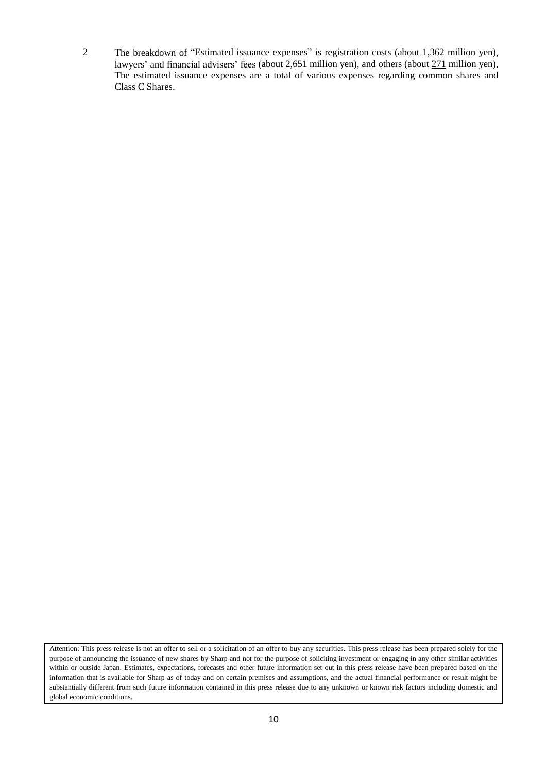2 The breakdown of "Estimated issuance expenses" is registration costs (about 1,362 million yen), lawyers' and financial advisers' fees (about 2,651 million yen), and others (about 271 million yen). The estimated issuance expenses are a total of various expenses regarding common shares and Class C Shares.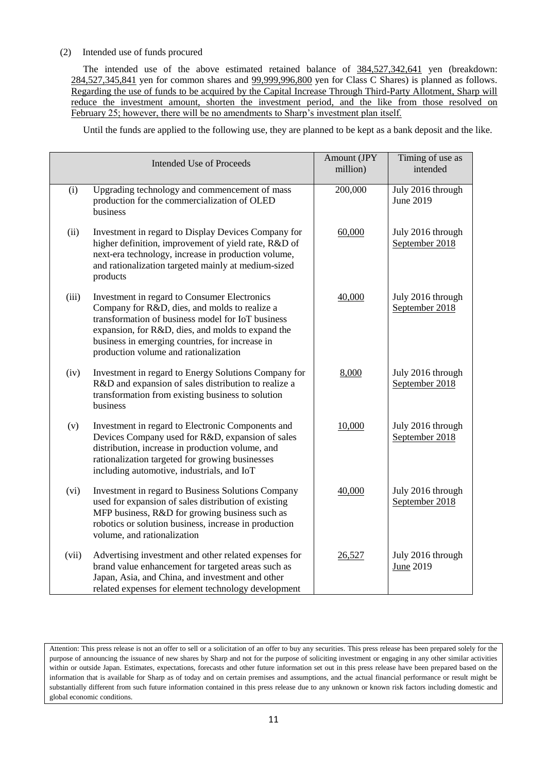# (2) Intended use of funds procured

The intended use of the above estimated retained balance of 384,527,342,641 yen (breakdown: 284,527,345,841 yen for common shares and 99,999,996,800 yen for Class C Shares) is planned as follows. Regarding the use of funds to be acquired by the Capital Increase Through Third-Party Allotment, Sharp will reduce the investment amount, shorten the investment period, and the like from those resolved on February 25; however, there will be no amendments to Sharp's investment plan itself.

Until the funds are applied to the following use, they are planned to be kept as a bank deposit and the like.

|       | Intended Use of Proceeds                                                                                                                                                                                                                                                                            | Amount (JPY<br>million) | Timing of use as<br>intended          |
|-------|-----------------------------------------------------------------------------------------------------------------------------------------------------------------------------------------------------------------------------------------------------------------------------------------------------|-------------------------|---------------------------------------|
| (i)   | Upgrading technology and commencement of mass<br>production for the commercialization of OLED<br>business                                                                                                                                                                                           | 200,000                 | July 2016 through<br>June 2019        |
| (ii)  | Investment in regard to Display Devices Company for<br>higher definition, improvement of yield rate, R&D of<br>next-era technology, increase in production volume,<br>and rationalization targeted mainly at medium-sized<br>products                                                               | 60,000                  | July 2016 through<br>September 2018   |
| (iii) | Investment in regard to Consumer Electronics<br>Company for R&D, dies, and molds to realize a<br>transformation of business model for IoT business<br>expansion, for R&D, dies, and molds to expand the<br>business in emerging countries, for increase in<br>production volume and rationalization | 40,000                  | July 2016 through<br>September 2018   |
| (iv)  | Investment in regard to Energy Solutions Company for<br>R&D and expansion of sales distribution to realize a<br>transformation from existing business to solution<br>business                                                                                                                       | 8,000                   | July 2016 through<br>September 2018   |
| (v)   | Investment in regard to Electronic Components and<br>Devices Company used for R&D, expansion of sales<br>distribution, increase in production volume, and<br>rationalization targeted for growing businesses<br>including automotive, industrials, and IoT                                          | 10,000                  | July 2016 through<br>September 2018   |
| (vi)  | Investment in regard to Business Solutions Company<br>used for expansion of sales distribution of existing<br>MFP business, R&D for growing business such as<br>robotics or solution business, increase in production<br>volume, and rationalization                                                | 40,000                  | July 2016 through<br>September 2018   |
| (vii) | Advertising investment and other related expenses for<br>brand value enhancement for targeted areas such as<br>Japan, Asia, and China, and investment and other<br>related expenses for element technology development                                                                              | 26,527                  | July 2016 through<br><b>June 2019</b> |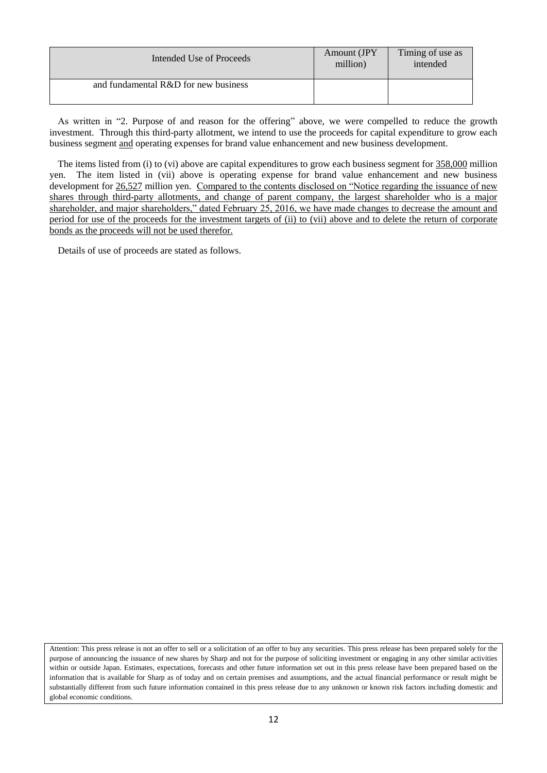| Intended Use of Proceeds             | Amount (JPY)<br>million) | Timing of use as<br>intended |
|--------------------------------------|--------------------------|------------------------------|
| and fundamental R&D for new business |                          |                              |

As written in "2. Purpose of and reason for the offering" above, we were compelled to reduce the growth investment. Through this third-party allotment, we intend to use the proceeds for capital expenditure to grow each business segment and operating expenses for brand value enhancement and new business development.

The items listed from (i) to (vi) above are capital expenditures to grow each business segment for  $358,000$  million yen. The item listed in (vii) above is operating expense for brand value enhancement and new business development for 26,527 million yen. Compared to the contents disclosed on "Notice regarding the issuance of new shares through third-party allotments, and change of parent company, the largest shareholder who is a major shareholder, and major shareholders," dated February 25, 2016, we have made changes to decrease the amount and period for use of the proceeds for the investment targets of (ii) to (vii) above and to delete the return of corporate bonds as the proceeds will not be used therefor.

Details of use of proceeds are stated as follows.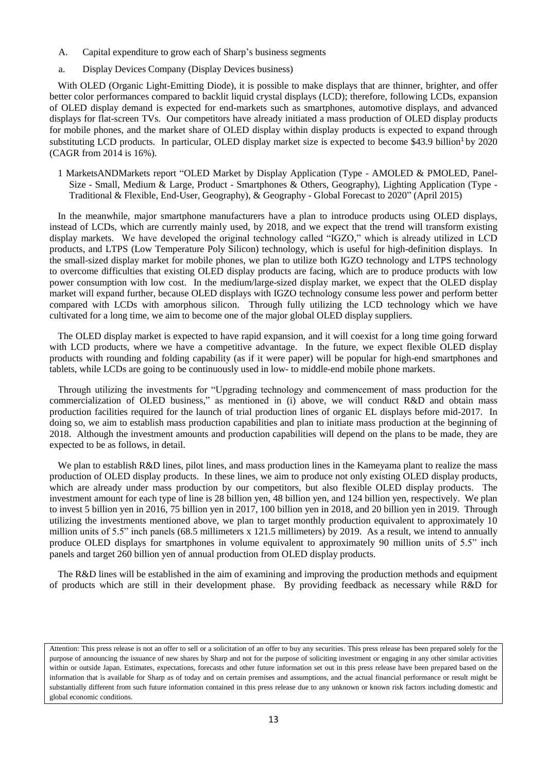- A. Capital expenditure to grow each of Sharp's business segments
- a. Display Devices Company (Display Devices business)

With OLED (Organic Light-Emitting Diode), it is possible to make displays that are thinner, brighter, and offer better color performances compared to backlit liquid crystal displays (LCD); therefore, following LCDs, expansion of OLED display demand is expected for end-markets such as smartphones, automotive displays, and advanced displays for flat-screen TVs. Our competitors have already initiated a mass production of OLED display products for mobile phones, and the market share of OLED display within display products is expected to expand through substituting LCD products. In particular, OLED display market size is expected to become  $$43.9$  billion<sup>1</sup> by 2020 (CAGR from 2014 is 16%).

1 MarketsANDMarkets report "OLED Market by Display Application (Type - AMOLED & PMOLED, Panel-Size - Small, Medium & Large, Product - Smartphones & Others, Geography), Lighting Application (Type - Traditional & Flexible, End-User, Geography), & Geography - Global Forecast to 2020" (April 2015)

In the meanwhile, major smartphone manufacturers have a plan to introduce products using OLED displays, instead of LCDs, which are currently mainly used, by 2018, and we expect that the trend will transform existing display markets. We have developed the original technology called "IGZO," which is already utilized in LCD products, and LTPS (Low Temperature Poly Silicon) technology, which is useful for high-definition displays. In the small-sized display market for mobile phones, we plan to utilize both IGZO technology and LTPS technology to overcome difficulties that existing OLED display products are facing, which are to produce products with low power consumption with low cost. In the medium/large-sized display market, we expect that the OLED display market will expand further, because OLED displays with IGZO technology consume less power and perform better compared with LCDs with amorphous silicon. Through fully utilizing the LCD technology which we have cultivated for a long time, we aim to become one of the major global OLED display suppliers.

The OLED display market is expected to have rapid expansion, and it will coexist for a long time going forward with LCD products, where we have a competitive advantage. In the future, we expect flexible OLED display products with rounding and folding capability (as if it were paper) will be popular for high-end smartphones and tablets, while LCDs are going to be continuously used in low- to middle-end mobile phone markets.

Through utilizing the investments for "Upgrading technology and commencement of mass production for the commercialization of OLED business," as mentioned in (i) above, we will conduct R&D and obtain mass production facilities required for the launch of trial production lines of organic EL displays before mid-2017. In doing so, we aim to establish mass production capabilities and plan to initiate mass production at the beginning of 2018. Although the investment amounts and production capabilities will depend on the plans to be made, they are expected to be as follows, in detail.

We plan to establish R&D lines, pilot lines, and mass production lines in the Kameyama plant to realize the mass production of OLED display products. In these lines, we aim to produce not only existing OLED display products, which are already under mass production by our competitors, but also flexible OLED display products. The investment amount for each type of line is 28 billion yen, 48 billion yen, and 124 billion yen, respectively. We plan to invest 5 billion yen in 2016, 75 billion yen in 2017, 100 billion yen in 2018, and 20 billion yen in 2019. Through utilizing the investments mentioned above, we plan to target monthly production equivalent to approximately 10 million units of 5.5" inch panels (68.5 millimeters x 121.5 millimeters) by 2019. As a result, we intend to annually produce OLED displays for smartphones in volume equivalent to approximately 90 million units of 5.5" inch panels and target 260 billion yen of annual production from OLED display products.

The R&D lines will be established in the aim of examining and improving the production methods and equipment of products which are still in their development phase. By providing feedback as necessary while R&D for

Attention: This press release is not an offer to sell or a solicitation of an offer to buy any securities. This press release has been prepared solely for the purpose of announcing the issuance of new shares by Sharp and not for the purpose of soliciting investment or engaging in any other similar activities within or outside Japan. Estimates, expectations, forecasts and other future information set out in this press release have been prepared based on the information that is available for Sharp as of today and on certain premises and assumptions, and the actual financial performance or result might be substantially different from such future information contained in this press release due to any unknown or known risk factors including domestic and global economic conditions.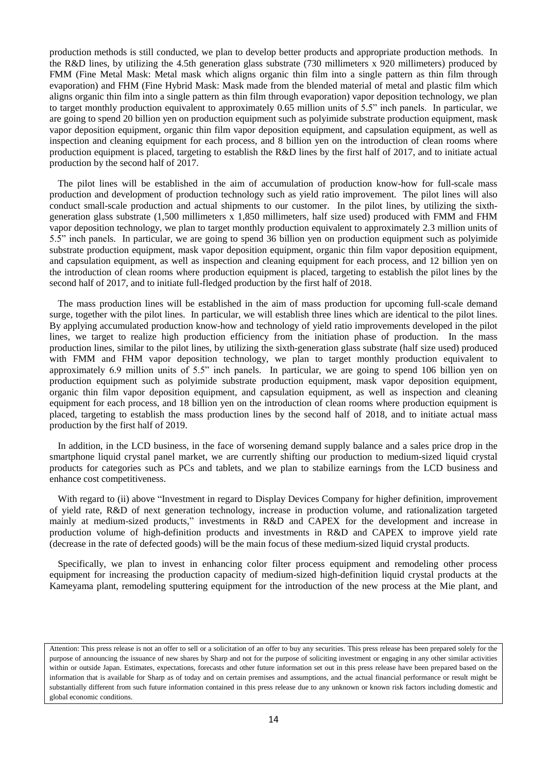production methods is still conducted, we plan to develop better products and appropriate production methods. In the R&D lines, by utilizing the 4.5th generation glass substrate (730 millimeters x 920 millimeters) produced by FMM (Fine Metal Mask: Metal mask which aligns organic thin film into a single pattern as thin film through evaporation) and FHM (Fine Hybrid Mask: Mask made from the blended material of metal and plastic film which aligns organic thin film into a single pattern as thin film through evaporation) vapor deposition technology, we plan to target monthly production equivalent to approximately 0.65 million units of 5.5" inch panels. In particular, we are going to spend 20 billion yen on production equipment such as polyimide substrate production equipment, mask vapor deposition equipment, organic thin film vapor deposition equipment, and capsulation equipment, as well as inspection and cleaning equipment for each process, and 8 billion yen on the introduction of clean rooms where production equipment is placed, targeting to establish the R&D lines by the first half of 2017, and to initiate actual production by the second half of 2017.

The pilot lines will be established in the aim of accumulation of production know-how for full-scale mass production and development of production technology such as yield ratio improvement. The pilot lines will also conduct small-scale production and actual shipments to our customer. In the pilot lines, by utilizing the sixthgeneration glass substrate (1,500 millimeters x 1,850 millimeters, half size used) produced with FMM and FHM vapor deposition technology, we plan to target monthly production equivalent to approximately 2.3 million units of 5.5" inch panels. In particular, we are going to spend 36 billion yen on production equipment such as polyimide substrate production equipment, mask vapor deposition equipment, organic thin film vapor deposition equipment, and capsulation equipment, as well as inspection and cleaning equipment for each process, and 12 billion yen on the introduction of clean rooms where production equipment is placed, targeting to establish the pilot lines by the second half of 2017, and to initiate full-fledged production by the first half of 2018.

The mass production lines will be established in the aim of mass production for upcoming full-scale demand surge, together with the pilot lines. In particular, we will establish three lines which are identical to the pilot lines. By applying accumulated production know-how and technology of yield ratio improvements developed in the pilot lines, we target to realize high production efficiency from the initiation phase of production. In the mass production lines, similar to the pilot lines, by utilizing the sixth-generation glass substrate (half size used) produced with FMM and FHM vapor deposition technology, we plan to target monthly production equivalent to approximately 6.9 million units of 5.5" inch panels. In particular, we are going to spend 106 billion yen on production equipment such as polyimide substrate production equipment, mask vapor deposition equipment, organic thin film vapor deposition equipment, and capsulation equipment, as well as inspection and cleaning equipment for each process, and 18 billion yen on the introduction of clean rooms where production equipment is placed, targeting to establish the mass production lines by the second half of 2018, and to initiate actual mass production by the first half of 2019.

In addition, in the LCD business, in the face of worsening demand supply balance and a sales price drop in the smartphone liquid crystal panel market, we are currently shifting our production to medium-sized liquid crystal products for categories such as PCs and tablets, and we plan to stabilize earnings from the LCD business and enhance cost competitiveness.

With regard to (ii) above "Investment in regard to Display Devices Company for higher definition, improvement of yield rate, R&D of next generation technology, increase in production volume, and rationalization targeted mainly at medium-sized products," investments in R&D and CAPEX for the development and increase in production volume of high-definition products and investments in R&D and CAPEX to improve yield rate (decrease in the rate of defected goods) will be the main focus of these medium-sized liquid crystal products.

Specifically, we plan to invest in enhancing color filter process equipment and remodeling other process equipment for increasing the production capacity of medium-sized high-definition liquid crystal products at the Kameyama plant, remodeling sputtering equipment for the introduction of the new process at the Mie plant, and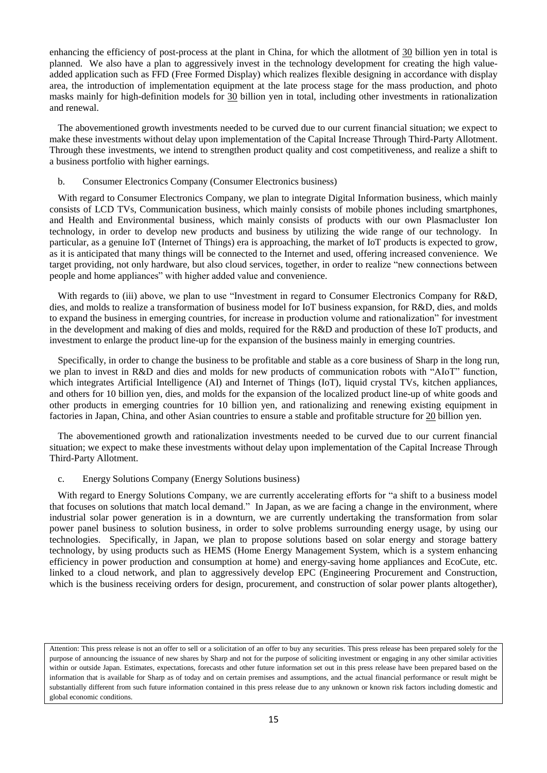enhancing the efficiency of post-process at the plant in China, for which the allotment of 30 billion yen in total is planned. We also have a plan to aggressively invest in the technology development for creating the high valueadded application such as FFD (Free Formed Display) which realizes flexible designing in accordance with display area, the introduction of implementation equipment at the late process stage for the mass production, and photo masks mainly for high-definition models for 30 billion yen in total, including other investments in rationalization and renewal.

The abovementioned growth investments needed to be curved due to our current financial situation; we expect to make these investments without delay upon implementation of the Capital Increase Through Third-Party Allotment. Through these investments, we intend to strengthen product quality and cost competitiveness, and realize a shift to a business portfolio with higher earnings.

## b. Consumer Electronics Company (Consumer Electronics business)

With regard to Consumer Electronics Company, we plan to integrate Digital Information business, which mainly consists of LCD TVs, Communication business, which mainly consists of mobile phones including smartphones, and Health and Environmental business, which mainly consists of products with our own Plasmacluster Ion technology, in order to develop new products and business by utilizing the wide range of our technology. In particular, as a genuine IoT (Internet of Things) era is approaching, the market of IoT products is expected to grow, as it is anticipated that many things will be connected to the Internet and used, offering increased convenience. We target providing, not only hardware, but also cloud services, together, in order to realize "new connections between people and home appliances" with higher added value and convenience.

With regards to (iii) above, we plan to use "Investment in regard to Consumer Electronics Company for R&D, dies, and molds to realize a transformation of business model for IoT business expansion, for R&D, dies, and molds to expand the business in emerging countries, for increase in production volume and rationalization" for investment in the development and making of dies and molds, required for the R&D and production of these IoT products, and investment to enlarge the product line-up for the expansion of the business mainly in emerging countries.

Specifically, in order to change the business to be profitable and stable as a core business of Sharp in the long run, we plan to invest in R&D and dies and molds for new products of communication robots with "AIoT" function, which integrates Artificial Intelligence (AI) and Internet of Things (IoT), liquid crystal TVs, kitchen appliances, and others for 10 billion yen, dies, and molds for the expansion of the localized product line-up of white goods and other products in emerging countries for 10 billion yen, and rationalizing and renewing existing equipment in factories in Japan, China, and other Asian countries to ensure a stable and profitable structure for 20 billion yen.

The abovementioned growth and rationalization investments needed to be curved due to our current financial situation; we expect to make these investments without delay upon implementation of the Capital Increase Through Third-Party Allotment.

### c. Energy Solutions Company (Energy Solutions business)

With regard to Energy Solutions Company, we are currently accelerating efforts for "a shift to a business model that focuses on solutions that match local demand." In Japan, as we are facing a change in the environment, where industrial solar power generation is in a downturn, we are currently undertaking the transformation from solar power panel business to solution business, in order to solve problems surrounding energy usage, by using our technologies. Specifically, in Japan, we plan to propose solutions based on solar energy and storage battery technology, by using products such as HEMS (Home Energy Management System, which is a system enhancing efficiency in power production and consumption at home) and energy-saving home appliances and EcoCute, etc. linked to a cloud network, and plan to aggressively develop EPC (Engineering Procurement and Construction, which is the business receiving orders for design, procurement, and construction of solar power plants altogether),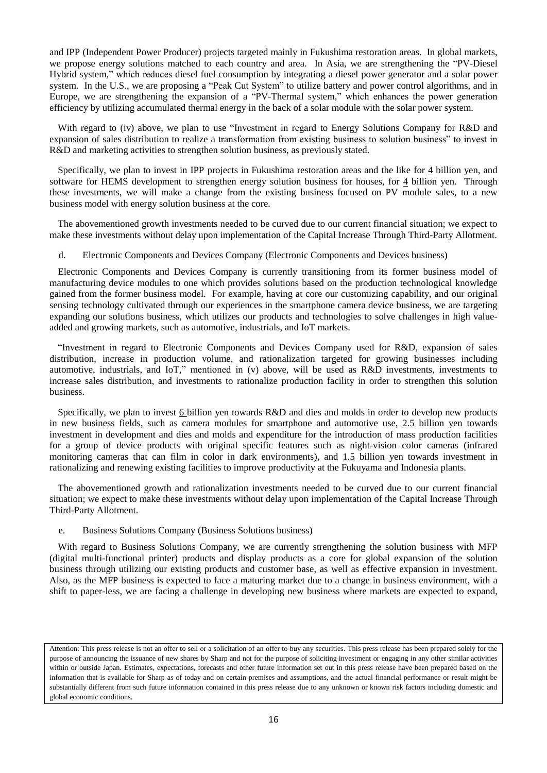and IPP (Independent Power Producer) projects targeted mainly in Fukushima restoration areas. In global markets, we propose energy solutions matched to each country and area. In Asia, we are strengthening the "PV-Diesel Hybrid system," which reduces diesel fuel consumption by integrating a diesel power generator and a solar power system. In the U.S., we are proposing a "Peak Cut System" to utilize battery and power control algorithms, and in Europe, we are strengthening the expansion of a "PV-Thermal system," which enhances the power generation efficiency by utilizing accumulated thermal energy in the back of a solar module with the solar power system.

With regard to (iv) above, we plan to use "Investment in regard to Energy Solutions Company for R&D and expansion of sales distribution to realize a transformation from existing business to solution business" to invest in R&D and marketing activities to strengthen solution business, as previously stated.

Specifically, we plan to invest in IPP projects in Fukushima restoration areas and the like for 4 billion yen, and software for HEMS development to strengthen energy solution business for houses, for 4 billion yen. Through these investments, we will make a change from the existing business focused on PV module sales, to a new business model with energy solution business at the core.

The abovementioned growth investments needed to be curved due to our current financial situation; we expect to make these investments without delay upon implementation of the Capital Increase Through Third-Party Allotment.

d. Electronic Components and Devices Company (Electronic Components and Devices business)

Electronic Components and Devices Company is currently transitioning from its former business model of manufacturing device modules to one which provides solutions based on the production technological knowledge gained from the former business model. For example, having at core our customizing capability, and our original sensing technology cultivated through our experiences in the smartphone camera device business, we are targeting expanding our solutions business, which utilizes our products and technologies to solve challenges in high valueadded and growing markets, such as automotive, industrials, and IoT markets.

"Investment in regard to Electronic Components and Devices Company used for R&D, expansion of sales distribution, increase in production volume, and rationalization targeted for growing businesses including automotive, industrials, and IoT," mentioned in (v) above, will be used as R&D investments, investments to increase sales distribution, and investments to rationalize production facility in order to strengthen this solution business.

Specifically, we plan to invest 6 billion yen towards R&D and dies and molds in order to develop new products in new business fields, such as camera modules for smartphone and automotive use, 2.5 billion yen towards investment in development and dies and molds and expenditure for the introduction of mass production facilities for a group of device products with original specific features such as night-vision color cameras (infrared monitoring cameras that can film in color in dark environments), and 1.5 billion yen towards investment in rationalizing and renewing existing facilities to improve productivity at the Fukuyama and Indonesia plants.

The abovementioned growth and rationalization investments needed to be curved due to our current financial situation; we expect to make these investments without delay upon implementation of the Capital Increase Through Third-Party Allotment.

e. Business Solutions Company (Business Solutions business)

With regard to Business Solutions Company, we are currently strengthening the solution business with MFP (digital multi-functional printer) products and display products as a core for global expansion of the solution business through utilizing our existing products and customer base, as well as effective expansion in investment. Also, as the MFP business is expected to face a maturing market due to a change in business environment, with a shift to paper-less, we are facing a challenge in developing new business where markets are expected to expand,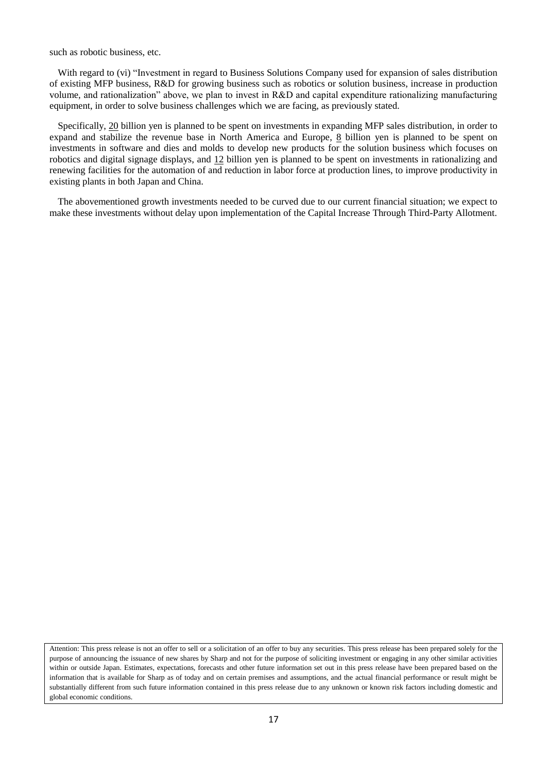such as robotic business, etc.

With regard to (vi) "Investment in regard to Business Solutions Company used for expansion of sales distribution of existing MFP business, R&D for growing business such as robotics or solution business, increase in production volume, and rationalization" above, we plan to invest in R&D and capital expenditure rationalizing manufacturing equipment, in order to solve business challenges which we are facing, as previously stated.

Specifically, 20 billion yen is planned to be spent on investments in expanding MFP sales distribution, in order to expand and stabilize the revenue base in North America and Europe, 8 billion yen is planned to be spent on investments in software and dies and molds to develop new products for the solution business which focuses on robotics and digital signage displays, and 12 billion yen is planned to be spent on investments in rationalizing and renewing facilities for the automation of and reduction in labor force at production lines, to improve productivity in existing plants in both Japan and China.

The abovementioned growth investments needed to be curved due to our current financial situation; we expect to make these investments without delay upon implementation of the Capital Increase Through Third-Party Allotment.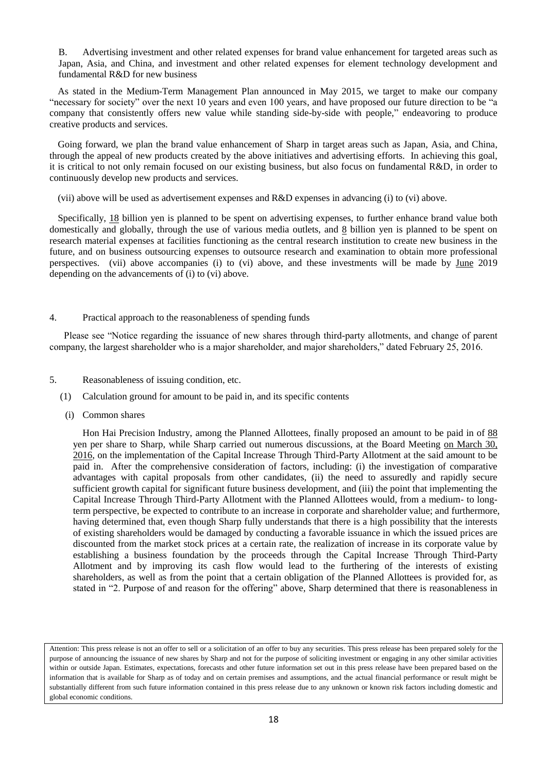B. Advertising investment and other related expenses for brand value enhancement for targeted areas such as Japan, Asia, and China, and investment and other related expenses for element technology development and fundamental R&D for new business

As stated in the Medium-Term Management Plan announced in May 2015, we target to make our company "necessary for society" over the next 10 years and even 100 years, and have proposed our future direction to be "a company that consistently offers new value while standing side-by-side with people," endeavoring to produce creative products and services.

Going forward, we plan the brand value enhancement of Sharp in target areas such as Japan, Asia, and China, through the appeal of new products created by the above initiatives and advertising efforts. In achieving this goal, it is critical to not only remain focused on our existing business, but also focus on fundamental R&D, in order to continuously develop new products and services.

(vii) above will be used as advertisement expenses and R&D expenses in advancing (i) to (vi) above.

Specifically, 18 billion yen is planned to be spent on advertising expenses, to further enhance brand value both domestically and globally, through the use of various media outlets, and 8 billion yen is planned to be spent on research material expenses at facilities functioning as the central research institution to create new business in the future, and on business outsourcing expenses to outsource research and examination to obtain more professional perspectives. (vii) above accompanies (i) to (vi) above, and these investments will be made by June 2019 depending on the advancements of (i) to (vi) above.

#### 4. Practical approach to the reasonableness of spending funds

Please see "Notice regarding the issuance of new shares through third-party allotments, and change of parent company, the largest shareholder who is a major shareholder, and major shareholders," dated February 25, 2016.

- 5. Reasonableness of issuing condition, etc.
	- (1) Calculation ground for amount to be paid in, and its specific contents
	- (i) Common shares

Hon Hai Precision Industry, among the Planned Allottees, finally proposed an amount to be paid in of 88 yen per share to Sharp, while Sharp carried out numerous discussions, at the Board Meeting on March 30, 2016, on the implementation of the Capital Increase Through Third-Party Allotment at the said amount to be paid in. After the comprehensive consideration of factors, including: (i) the investigation of comparative advantages with capital proposals from other candidates, (ii) the need to assuredly and rapidly secure sufficient growth capital for significant future business development, and (iii) the point that implementing the Capital Increase Through Third-Party Allotment with the Planned Allottees would, from a medium- to longterm perspective, be expected to contribute to an increase in corporate and shareholder value; and furthermore, having determined that, even though Sharp fully understands that there is a high possibility that the interests of existing shareholders would be damaged by conducting a favorable issuance in which the issued prices are discounted from the market stock prices at a certain rate, the realization of increase in its corporate value by establishing a business foundation by the proceeds through the Capital Increase Through Third-Party Allotment and by improving its cash flow would lead to the furthering of the interests of existing shareholders, as well as from the point that a certain obligation of the Planned Allottees is provided for, as stated in "2. Purpose of and reason for the offering" above, Sharp determined that there is reasonableness in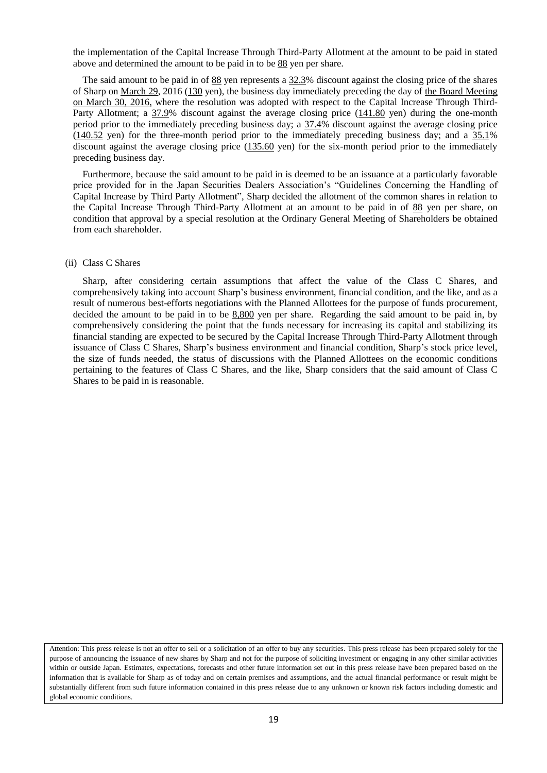the implementation of the Capital Increase Through Third-Party Allotment at the amount to be paid in stated above and determined the amount to be paid in to be 88 yen per share.

The said amount to be paid in of 88 yen represents a 32.3% discount against the closing price of the shares of Sharp on <u>March 29</u>, 2016 (130 yen), the business day immediately preceding the day of the Board Meeting on March 30, 2016, where the resolution was adopted with respect to the Capital Increase Through Third-Party Allotment; a 37.9% discount against the average closing price (141.80 yen) during the one-month period prior to the immediately preceding business day; a  $37.4\%$  discount against the average closing price  $(140.52 \text{ yen})$  for the three-month period prior to the immediately preceding business day; and a  $35.1\%$ discount against the average closing price (135.60 yen) for the six-month period prior to the immediately preceding business day.

Furthermore, because the said amount to be paid in is deemed to be an issuance at a particularly favorable price provided for in the Japan Securities Dealers Association's "Guidelines Concerning the Handling of Capital Increase by Third Party Allotment", Sharp decided the allotment of the common shares in relation to the Capital Increase Through Third-Party Allotment at an amount to be paid in of 88 yen per share, on condition that approval by a special resolution at the Ordinary General Meeting of Shareholders be obtained from each shareholder.

#### (ii) Class C Shares

Sharp, after considering certain assumptions that affect the value of the Class C Shares, and comprehensively taking into account Sharp's business environment, financial condition, and the like, and as a result of numerous best-efforts negotiations with the Planned Allottees for the purpose of funds procurement, decided the amount to be paid in to be 8,800 yen per share. Regarding the said amount to be paid in, by comprehensively considering the point that the funds necessary for increasing its capital and stabilizing its financial standing are expected to be secured by the Capital Increase Through Third-Party Allotment through issuance of Class C Shares, Sharp's business environment and financial condition, Sharp's stock price level, the size of funds needed, the status of discussions with the Planned Allottees on the economic conditions pertaining to the features of Class C Shares, and the like, Sharp considers that the said amount of Class C Shares to be paid in is reasonable.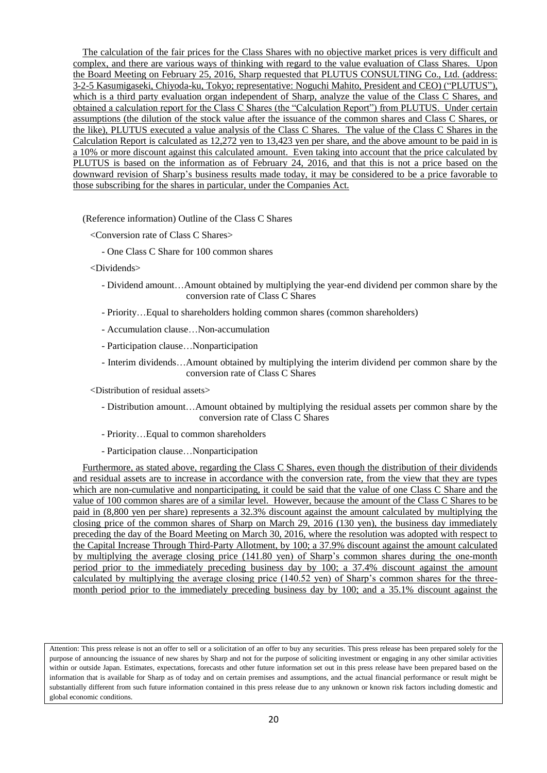The calculation of the fair prices for the Class Shares with no objective market prices is very difficult and complex, and there are various ways of thinking with regard to the value evaluation of Class Shares. Upon the Board Meeting on February 25, 2016, Sharp requested that PLUTUS CONSULTING Co., Ltd. (address: 3-2-5 Kasumigaseki, Chiyoda-ku, Tokyo; representative: Noguchi Mahito, President and CEO) ("PLUTUS"), which is a third party evaluation organ independent of Sharp, analyze the value of the Class C Shares, and obtained a calculation report for the Class C Shares (the "Calculation Report") from PLUTUS. Under certain assumptions (the dilution of the stock value after the issuance of the common shares and Class C Shares, or the like), PLUTUS executed a value analysis of the Class C Shares. The value of the Class C Shares in the Calculation Report is calculated as 12,272 yen to 13,423 yen per share, and the above amount to be paid in is a 10% or more discount against this calculated amount. Even taking into account that the price calculated by PLUTUS is based on the information as of February 24, 2016, and that this is not a price based on the downward revision of Sharp's business results made today, it may be considered to be a price favorable to those subscribing for the shares in particular, under the Companies Act.

(Reference information) Outline of the Class C Shares

<Conversion rate of Class C Shares>

- One Class C Share for 100 common shares

<Dividends>

- Dividend amount…Amount obtained by multiplying the year-end dividend per common share by the conversion rate of Class C Shares
- Priority…Equal to shareholders holding common shares (common shareholders)
- Accumulation clause…Non-accumulation
- Participation clause…Nonparticipation
- Interim dividends…Amount obtained by multiplying the interim dividend per common share by the conversion rate of Class C Shares

<Distribution of residual assets>

- Distribution amount…Amount obtained by multiplying the residual assets per common share by the conversion rate of Class C Shares
- Priority…Equal to common shareholders
- Participation clause…Nonparticipation

Furthermore, as stated above, regarding the Class C Shares, even though the distribution of their dividends and residual assets are to increase in accordance with the conversion rate, from the view that they are types which are non-cumulative and nonparticipating, it could be said that the value of one Class C Share and the value of 100 common shares are of a similar level. However, because the amount of the Class C Shares to be paid in (8,800 yen per share) represents a 32.3% discount against the amount calculated by multiplying the closing price of the common shares of Sharp on March 29, 2016 (130 yen), the business day immediately preceding the day of the Board Meeting on March 30, 2016, where the resolution was adopted with respect to the Capital Increase Through Third-Party Allotment, by 100; a 37.9% discount against the amount calculated by multiplying the average closing price (141.80 yen) of Sharp's common shares during the one-month period prior to the immediately preceding business day by 100; a 37.4% discount against the amount calculated by multiplying the average closing price (140.52 yen) of Sharp's common shares for the threemonth period prior to the immediately preceding business day by 100; and a 35.1% discount against the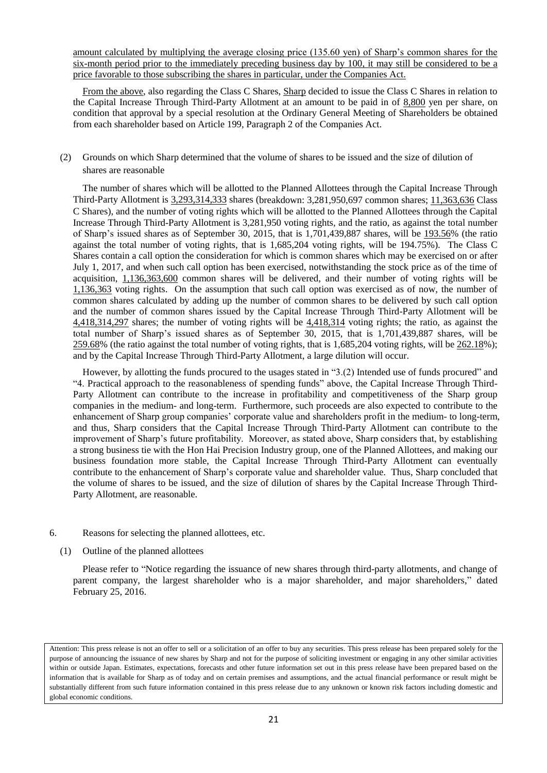amount calculated by multiplying the average closing price (135.60 yen) of Sharp's common shares for the six-month period prior to the immediately preceding business day by 100, it may still be considered to be a price favorable to those subscribing the shares in particular, under the Companies Act.

From the above, also regarding the Class C Shares, Sharp decided to issue the Class C Shares in relation to the Capital Increase Through Third-Party Allotment at an amount to be paid in of 8,800 yen per share, on condition that approval by a special resolution at the Ordinary General Meeting of Shareholders be obtained from each shareholder based on Article 199, Paragraph 2 of the Companies Act.

(2) Grounds on which Sharp determined that the volume of shares to be issued and the size of dilution of shares are reasonable

The number of shares which will be allotted to the Planned Allottees through the Capital Increase Through Third-Party Allotment is 3,293,314,333 shares (breakdown: 3,281,950,697 common shares; 11,363,636 Class C Shares), and the number of voting rights which will be allotted to the Planned Allottees through the Capital Increase Through Third-Party Allotment is 3,281,950 voting rights, and the ratio, as against the total number of Sharp's issued shares as of September 30, 2015, that is 1,701,439,887 shares, will be 193.56% (the ratio against the total number of voting rights, that is 1,685,204 voting rights, will be 194.75%). The Class C Shares contain a call option the consideration for which is common shares which may be exercised on or after July 1, 2017, and when such call option has been exercised, notwithstanding the stock price as of the time of acquisition, 1,136,363,600 common shares will be delivered, and their number of voting rights will be 1,136,363 voting rights. On the assumption that such call option was exercised as of now, the number of common shares calculated by adding up the number of common shares to be delivered by such call option and the number of common shares issued by the Capital Increase Through Third-Party Allotment will be 4,418,314,297 shares; the number of voting rights will be 4,418,314 voting rights; the ratio, as against the total number of Sharp's issued shares as of September 30, 2015, that is 1,701,439,887 shares, will be  $259.68\%$  (the ratio against the total number of voting rights, that is 1,685,204 voting rights, will be  $262.18\%$ ); and by the Capital Increase Through Third-Party Allotment, a large dilution will occur.

However, by allotting the funds procured to the usages stated in "3.(2) Intended use of funds procured" and "4. Practical approach to the reasonableness of spending funds" above, the Capital Increase Through Third-Party Allotment can contribute to the increase in profitability and competitiveness of the Sharp group companies in the medium- and long-term. Furthermore, such proceeds are also expected to contribute to the enhancement of Sharp group companies' corporate value and shareholders profit in the medium- to long-term, and thus, Sharp considers that the Capital Increase Through Third-Party Allotment can contribute to the improvement of Sharp's future profitability. Moreover, as stated above, Sharp considers that, by establishing a strong business tie with the Hon Hai Precision Industry group, one of the Planned Allottees, and making our business foundation more stable, the Capital Increase Through Third-Party Allotment can eventually contribute to the enhancement of Sharp's corporate value and shareholder value. Thus, Sharp concluded that the volume of shares to be issued, and the size of dilution of shares by the Capital Increase Through Third-Party Allotment, are reasonable.

- 6. Reasons for selecting the planned allottees, etc.
	- (1) Outline of the planned allottees

Please refer to "Notice regarding the issuance of new shares through third-party allotments, and change of parent company, the largest shareholder who is a major shareholder, and major shareholders," dated February 25, 2016.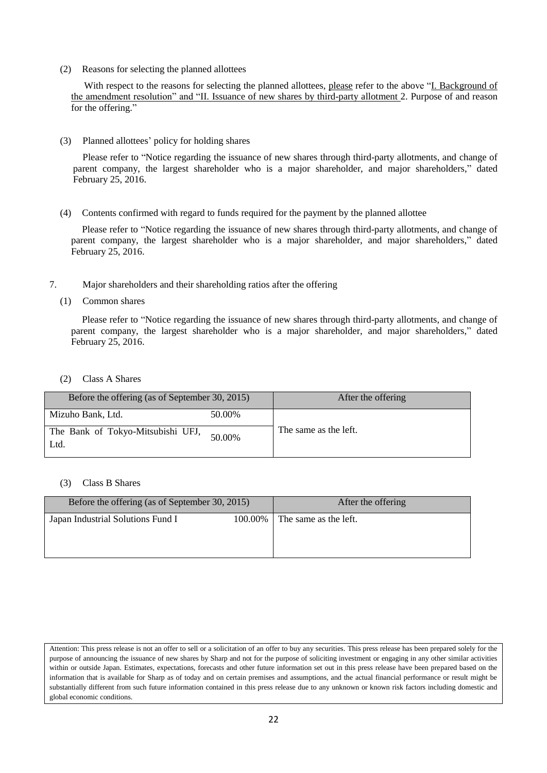(2) Reasons for selecting the planned allottees

With respect to the reasons for selecting the planned allottees, please refer to the above "I. Background of the amendment resolution" and "II. Issuance of new shares by third-party allotment 2. Purpose of and reason for the offering."

(3) Planned allottees' policy for holding shares

Please refer to "Notice regarding the issuance of new shares through third-party allotments, and change of parent company, the largest shareholder who is a major shareholder, and major shareholders," dated February 25, 2016.

(4) Contents confirmed with regard to funds required for the payment by the planned allottee

Please refer to "Notice regarding the issuance of new shares through third-party allotments, and change of parent company, the largest shareholder who is a major shareholder, and major shareholders," dated February 25, 2016.

- 7. Major shareholders and their shareholding ratios after the offering
	- (1) Common shares

Please refer to "Notice regarding the issuance of new shares through third-party allotments, and change of parent company, the largest shareholder who is a major shareholder, and major shareholders," dated February 25, 2016.

(2) Class A Shares

| Before the offering (as of September 30, 2015) |                       |  |
|------------------------------------------------|-----------------------|--|
| 50.00%                                         |                       |  |
| 50.00%                                         | The same as the left. |  |
|                                                |                       |  |

# (3) Class B Shares

| Before the offering (as of September 30, 2015) | After the offering |                       |
|------------------------------------------------|--------------------|-----------------------|
| Japan Industrial Solutions Fund I              | 100.00% L          | The same as the left. |

Attention: This press release is not an offer to sell or a solicitation of an offer to buy any securities. This press release has been prepared solely for the purpose of announcing the issuance of new shares by Sharp and not for the purpose of soliciting investment or engaging in any other similar activities within or outside Japan. Estimates, expectations, forecasts and other future information set out in this press release have been prepared based on the information that is available for Sharp as of today and on certain premises and assumptions, and the actual financial performance or result might be substantially different from such future information contained in this press release due to any unknown or known risk factors including domestic and global economic conditions.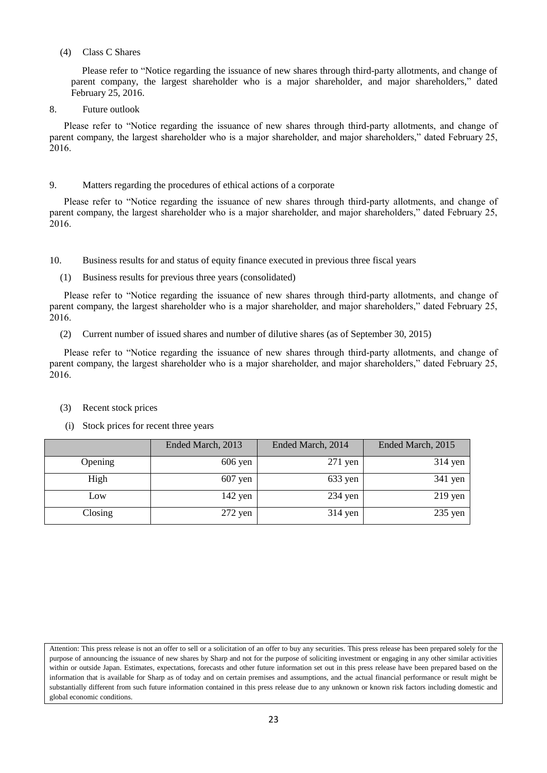## (4) Class C Shares

Please refer to "Notice regarding the issuance of new shares through third-party allotments, and change of parent company, the largest shareholder who is a major shareholder, and major shareholders," dated February 25, 2016.

8. Future outlook

Please refer to "Notice regarding the issuance of new shares through third-party allotments, and change of parent company, the largest shareholder who is a major shareholder, and major shareholders," dated February 25, 2016.

# 9. Matters regarding the procedures of ethical actions of a corporate

Please refer to "Notice regarding the issuance of new shares through third-party allotments, and change of parent company, the largest shareholder who is a major shareholder, and major shareholders," dated February 25, 2016.

10. Business results for and status of equity finance executed in previous three fiscal years

(1) Business results for previous three years (consolidated)

Please refer to "Notice regarding the issuance of new shares through third-party allotments, and change of parent company, the largest shareholder who is a major shareholder, and major shareholders," dated February 25, 2016.

(2) Current number of issued shares and number of dilutive shares (as of September 30, 2015)

Please refer to "Notice regarding the issuance of new shares through third-party allotments, and change of parent company, the largest shareholder who is a major shareholder, and major shareholders," dated February 25, 2016.

- (3) Recent stock prices
- (i) Stock prices for recent three years

|         | Ended March, 2013 | Ended March, 2014 | Ended March, 2015 |
|---------|-------------------|-------------------|-------------------|
| Opening | $606$ yen         | $271$ yen         | $314$ yen         |
| High    | $607$ yen         | $633$ yen         | $341$ yen         |
| Low     | $142$ yen         | $234$ yen         | $219$ yen         |
| Closing | $272$ yen         | $314$ yen         | $235$ yen         |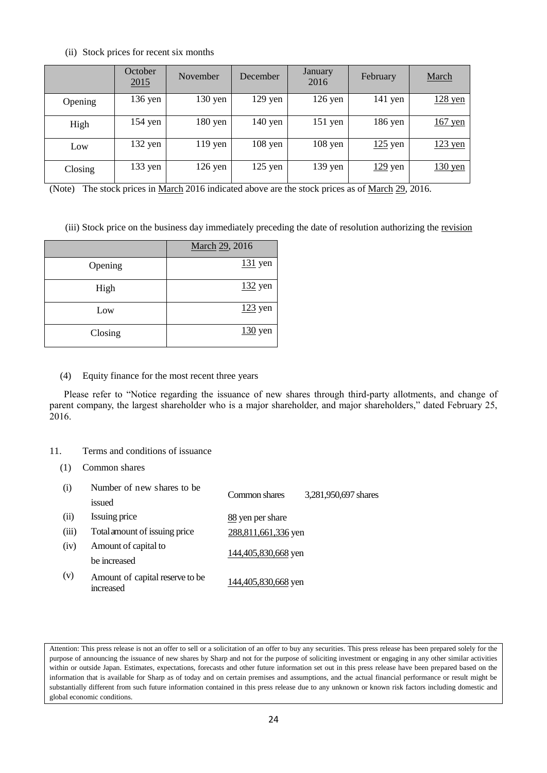## (ii) Stock prices for recent six months

|         | October<br>2015 | November  | December  | January<br>2016 | February  | March             |
|---------|-----------------|-----------|-----------|-----------------|-----------|-------------------|
| Opening | $136$ yen       | $130$ yen | $129$ yen | $126$ yen       | $141$ yen | $128$ yen         |
| High    | $154$ yen       | $180$ yen | $140$ yen | $151$ yen       | 186 yen   | $167$ yen         |
| Low     | $132$ yen       | $119$ yen | $108$ yen | $108$ yen       | $125$ yen | $123$ yen         |
| Closing | 133 yen         | $126$ yen | $125$ yen | $139$ yen       | $129$ yen | $130 \text{ yen}$ |

(Note) The stock prices in March 2016 indicated above are the stock prices as of March 29, 2016.

(iii) Stock price on the business day immediately preceding the date of resolution authorizing the revision

|         | March 29, 2016 |
|---------|----------------|
| Opening | $131$ yen      |
| High    | $132$ yen      |
| Low     | $123$ yen      |
| Closing | $130$ yen      |

# (4) Equity finance for the most recent three years

Please refer to "Notice regarding the issuance of new shares through third-party allotments, and change of parent company, the largest shareholder who is a major shareholder, and major shareholders," dated February 25, 2016.

# 11. Terms and conditions of issuance

(1) Common shares

| (i)   | Number of new shares to be.                  | Common shares       | 3,281,950,697 shares |
|-------|----------------------------------------------|---------------------|----------------------|
|       | issued                                       |                     |                      |
| (ii)  | Issuing price                                | 88 yen per share    |                      |
| (iii) | Total amount of issuing price                | 288,811,661,336 yen |                      |
| (iv)  | Amount of capital to                         | 144,405,830,668 yen |                      |
|       | be increased                                 |                     |                      |
| (v)   | Amount of capital reserve to be<br>increased | 144,405,830,668 yen |                      |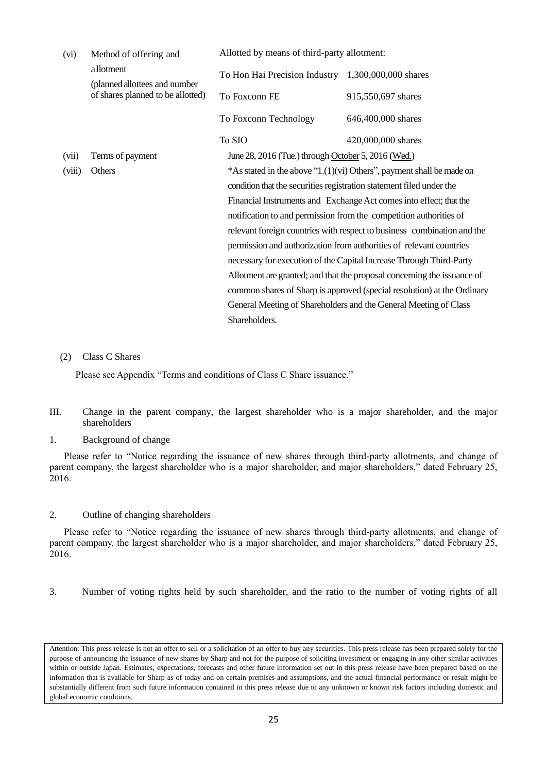| (vi)          | Method of offering and                                             | Allotted by means of third-party allotment:                             |                                                                         |  |
|---------------|--------------------------------------------------------------------|-------------------------------------------------------------------------|-------------------------------------------------------------------------|--|
|               | a llotment                                                         | To Hon Hai Precision Industry 1,300,000,000 shares                      |                                                                         |  |
|               | (planned allottees and number<br>of shares planned to be allotted) | To Foxconn FE                                                           | 915,550,697 shares                                                      |  |
|               |                                                                    | To Foxconn Technology                                                   | 646,400,000 shares                                                      |  |
|               |                                                                    | To SIO                                                                  | 420,000,000 shares                                                      |  |
| (vii)         | Terms of payment                                                   | June 28, 2016 (Tue.) through October 5, 2016 (Wed.)                     |                                                                         |  |
| (viii)        | Others                                                             |                                                                         | *As stated in the above " $1.(1)(vi)$ Others", payment shall be made on |  |
|               |                                                                    | condition that the securities registration statement filed under the    |                                                                         |  |
|               |                                                                    | Financial Instruments and Exchange Act comes into effect; that the      |                                                                         |  |
|               |                                                                    |                                                                         | notification to and permission from the competition authorities of      |  |
|               |                                                                    |                                                                         | relevant foreign countries with respect to business combination and the |  |
|               |                                                                    |                                                                         | permission and authorization from authorities of relevant countries     |  |
|               |                                                                    |                                                                         | necessary for execution of the Capital Increase Through Third-Party     |  |
|               |                                                                    |                                                                         | Allotment are granted; and that the proposal concerning the issuance of |  |
|               |                                                                    | common shares of Sharp is approved (special resolution) at the Ordinary |                                                                         |  |
|               |                                                                    | General Meeting of Shareholders and the General Meeting of Class        |                                                                         |  |
| Shareholders. |                                                                    |                                                                         |                                                                         |  |

## (2) Class C Shares

Please see Appendix "Terms and conditions of Class C Share issuance."

- III. Change in the parent company, the largest shareholder who is a major shareholder, and the major shareholders
- 1. Background of change

Please refer to "Notice regarding the issuance of new shares through third-party allotments, and change of parent company, the largest shareholder who is a major shareholder, and major shareholders," dated February 25, 2016.

2. Outline of changing shareholders

Please refer to "Notice regarding the issuance of new shares through third-party allotments, and change of parent company, the largest shareholder who is a major shareholder, and major shareholders," dated February 25, 2016.

3. Number of voting rights held by such shareholder, and the ratio to the number of voting rights of all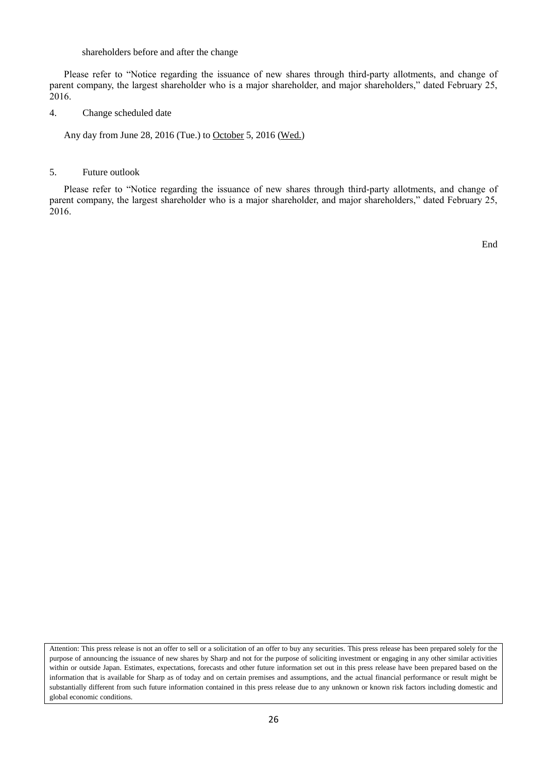#### shareholders before and after the change

Please refer to "Notice regarding the issuance of new shares through third-party allotments, and change of parent company, the largest shareholder who is a major shareholder, and major shareholders," dated February 25, 2016.

4. Change scheduled date

Any day from June 28, 2016 (Tue.) to October 5, 2016 (Wed.)

## 5. Future outlook

Please refer to "Notice regarding the issuance of new shares through third-party allotments, and change of parent company, the largest shareholder who is a major shareholder, and major shareholders," dated February 25, 2016.

End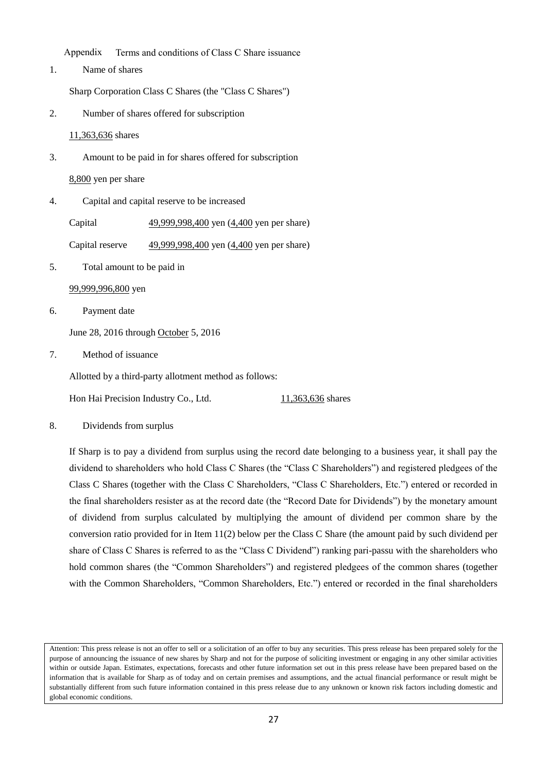Appendix Terms and conditions of Class C Share issuance

1. Name of shares

Sharp Corporation Class C Shares (the "Class C Shares")

2. Number of shares offered for subscription

11,363,636 shares

3. Amount to be paid in for shares offered for subscription

8,800 yen per share

4. Capital and capital reserve to be increased

Capital 49,999,998,400 yen (4,400 yen per share)

Capital reserve 49,999,998,400 yen (4,400 yen per share)

5. Total amount to be paid in

99,999,996,800 yen

6. Payment date

June 28, 2016 through October 5, 2016

7. Method of issuance

Allotted by a third-party allotment method as follows:

Hon Hai Precision Industry Co., Ltd. 11,363,636 shares

8. Dividends from surplus

If Sharp is to pay a dividend from surplus using the record date belonging to a business year, it shall pay the dividend to shareholders who hold Class C Shares (the "Class C Shareholders") and registered pledgees of the Class C Shares (together with the Class C Shareholders, "Class C Shareholders, Etc.") entered or recorded in the final shareholders resister as at the record date (the "Record Date for Dividends") by the monetary amount of dividend from surplus calculated by multiplying the amount of dividend per common share by the conversion ratio provided for in Item 11(2) below per the Class C Share (the amount paid by such dividend per share of Class C Shares is referred to as the "Class C Dividend") ranking pari-passu with the shareholders who hold common shares (the "Common Shareholders") and registered pledgees of the common shares (together with the Common Shareholders, "Common Shareholders, Etc.") entered or recorded in the final shareholders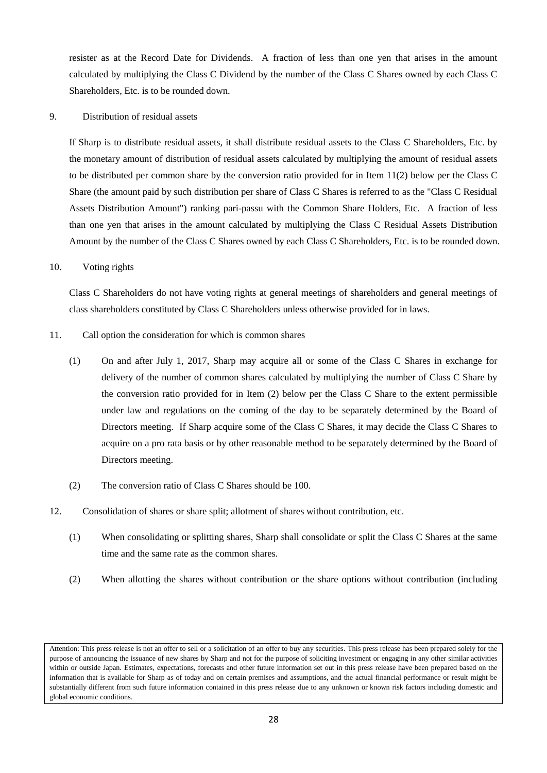resister as at the Record Date for Dividends. A fraction of less than one yen that arises in the amount calculated by multiplying the Class C Dividend by the number of the Class C Shares owned by each Class C Shareholders, Etc. is to be rounded down.

9. Distribution of residual assets

If Sharp is to distribute residual assets, it shall distribute residual assets to the Class C Shareholders, Etc. by the monetary amount of distribution of residual assets calculated by multiplying the amount of residual assets to be distributed per common share by the conversion ratio provided for in Item 11(2) below per the Class C Share (the amount paid by such distribution per share of Class C Shares is referred to as the "Class C Residual Assets Distribution Amount") ranking pari-passu with the Common Share Holders, Etc. A fraction of less than one yen that arises in the amount calculated by multiplying the Class C Residual Assets Distribution Amount by the number of the Class C Shares owned by each Class C Shareholders, Etc. is to be rounded down.

## 10. Voting rights

Class C Shareholders do not have voting rights at general meetings of shareholders and general meetings of class shareholders constituted by Class C Shareholders unless otherwise provided for in laws.

- 11. Call option the consideration for which is common shares
	- (1) On and after July 1, 2017, Sharp may acquire all or some of the Class C Shares in exchange for delivery of the number of common shares calculated by multiplying the number of Class C Share by the conversion ratio provided for in Item (2) below per the Class C Share to the extent permissible under law and regulations on the coming of the day to be separately determined by the Board of Directors meeting. If Sharp acquire some of the Class C Shares, it may decide the Class C Shares to acquire on a pro rata basis or by other reasonable method to be separately determined by the Board of Directors meeting.
	- (2) The conversion ratio of Class C Shares should be 100.
- 12. Consolidation of shares or share split; allotment of shares without contribution, etc.
	- (1) When consolidating or splitting shares, Sharp shall consolidate or split the Class C Shares at the same time and the same rate as the common shares.
	- (2) When allotting the shares without contribution or the share options without contribution (including

Attention: This press release is not an offer to sell or a solicitation of an offer to buy any securities. This press release has been prepared solely for the purpose of announcing the issuance of new shares by Sharp and not for the purpose of soliciting investment or engaging in any other similar activities within or outside Japan. Estimates, expectations, forecasts and other future information set out in this press release have been prepared based on the information that is available for Sharp as of today and on certain premises and assumptions, and the actual financial performance or result might be substantially different from such future information contained in this press release due to any unknown or known risk factors including domestic and global economic conditions.